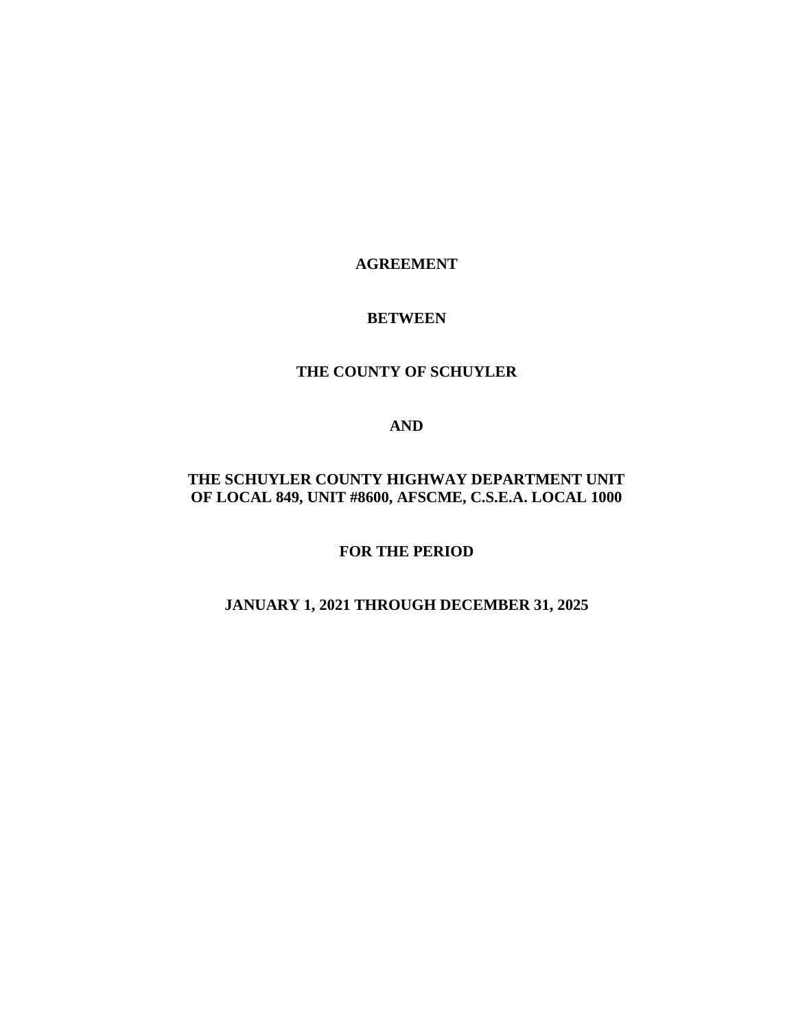## **AGREEMENT**

#### **BETWEEN**

## **THE COUNTY OF SCHUYLER**

#### **AND**

# **THE SCHUYLER COUNTY HIGHWAY DEPARTMENT UNIT OF LOCAL 849, UNIT #8600, AFSCME, C.S.E.A. LOCAL 1000**

**FOR THE PERIOD**

# **JANUARY 1, 2021 THROUGH DECEMBER 31, 2025**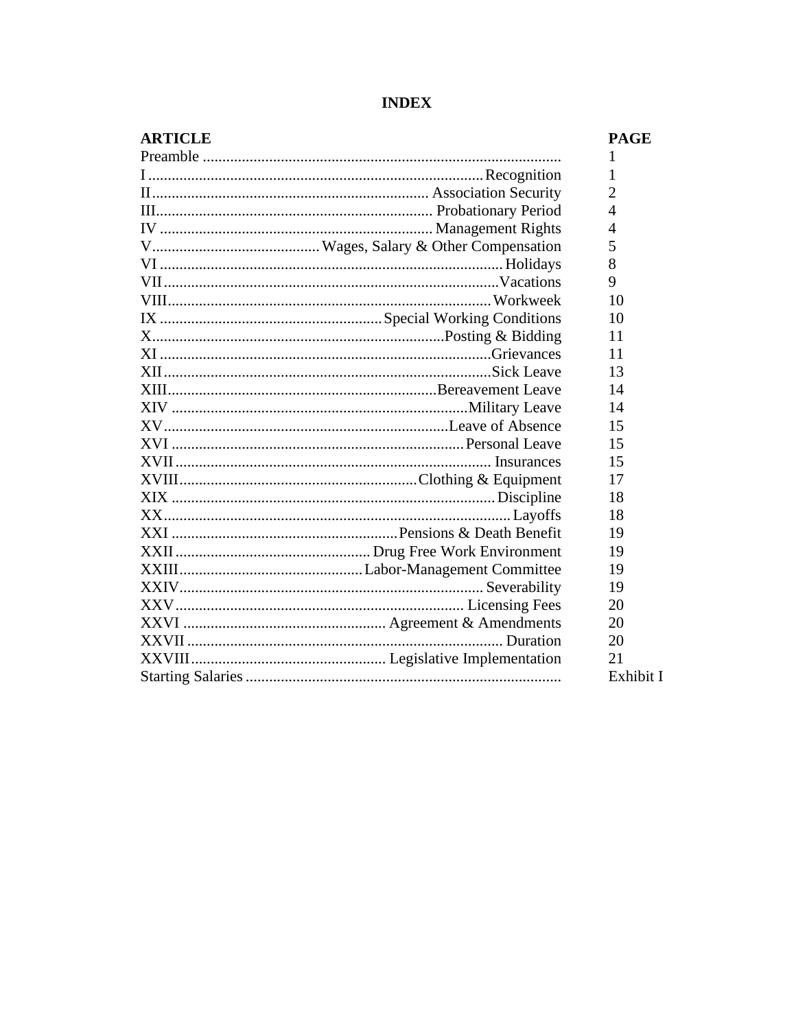| <b>ARTICLE</b> | <b>PAGE</b>    |
|----------------|----------------|
|                | 1              |
|                | 1              |
|                | 2              |
|                | $\overline{4}$ |
|                | $\overline{4}$ |
|                | 5              |
|                | 8              |
|                | 9              |
|                | 10             |
|                | 10             |
|                | 11             |
|                | 11             |
|                | 13             |
|                | 14             |
|                | 14             |
|                | 15             |
|                | 15             |
|                | 15             |
|                | 17             |
|                | 18             |
|                | 18             |
|                | 19             |
|                | 19             |
|                | 19             |
|                | 19             |
|                | 20             |
|                | 20             |
|                | 20             |
|                | 21             |
|                | Exhibit I      |

# **INDEX**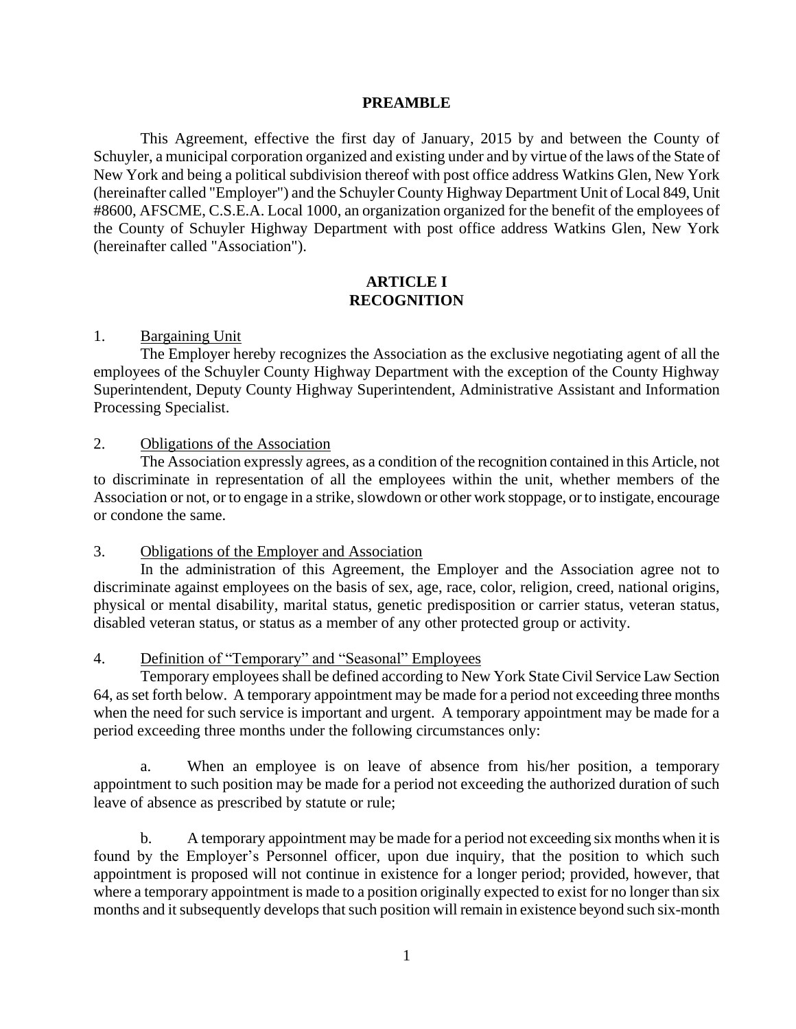#### **PREAMBLE**

This Agreement, effective the first day of January, 2015 by and between the County of Schuyler, a municipal corporation organized and existing under and by virtue of the laws of the State of New York and being a political subdivision thereof with post office address Watkins Glen, New York (hereinafter called "Employer") and the Schuyler County Highway Department Unit of Local 849, Unit #8600, AFSCME, C.S.E.A. Local 1000, an organization organized for the benefit of the employees of the County of Schuyler Highway Department with post office address Watkins Glen, New York (hereinafter called "Association").

## **ARTICLE I RECOGNITION**

## 1. Bargaining Unit

The Employer hereby recognizes the Association as the exclusive negotiating agent of all the employees of the Schuyler County Highway Department with the exception of the County Highway Superintendent, Deputy County Highway Superintendent, Administrative Assistant and Information Processing Specialist.

#### 2. Obligations of the Association

The Association expressly agrees, as a condition of the recognition contained in this Article, not to discriminate in representation of all the employees within the unit, whether members of the Association or not, or to engage in a strike, slowdown or other work stoppage, or to instigate, encourage or condone the same.

## 3. Obligations of the Employer and Association

In the administration of this Agreement, the Employer and the Association agree not to discriminate against employees on the basis of sex, age, race, color, religion, creed, national origins, physical or mental disability, marital status, genetic predisposition or carrier status, veteran status, disabled veteran status, or status as a member of any other protected group or activity.

## 4. Definition of "Temporary" and "Seasonal" Employees

Temporary employees shall be defined according to New York State Civil Service Law Section 64, as set forth below. A temporary appointment may be made for a period not exceeding three months when the need for such service is important and urgent. A temporary appointment may be made for a period exceeding three months under the following circumstances only:

a. When an employee is on leave of absence from his/her position, a temporary appointment to such position may be made for a period not exceeding the authorized duration of such leave of absence as prescribed by statute or rule;

b. A temporary appointment may be made for a period not exceeding six months when it is found by the Employer's Personnel officer, upon due inquiry, that the position to which such appointment is proposed will not continue in existence for a longer period; provided, however, that where a temporary appointment is made to a position originally expected to exist for no longer than six months and it subsequently develops that such position will remain in existence beyond such six-month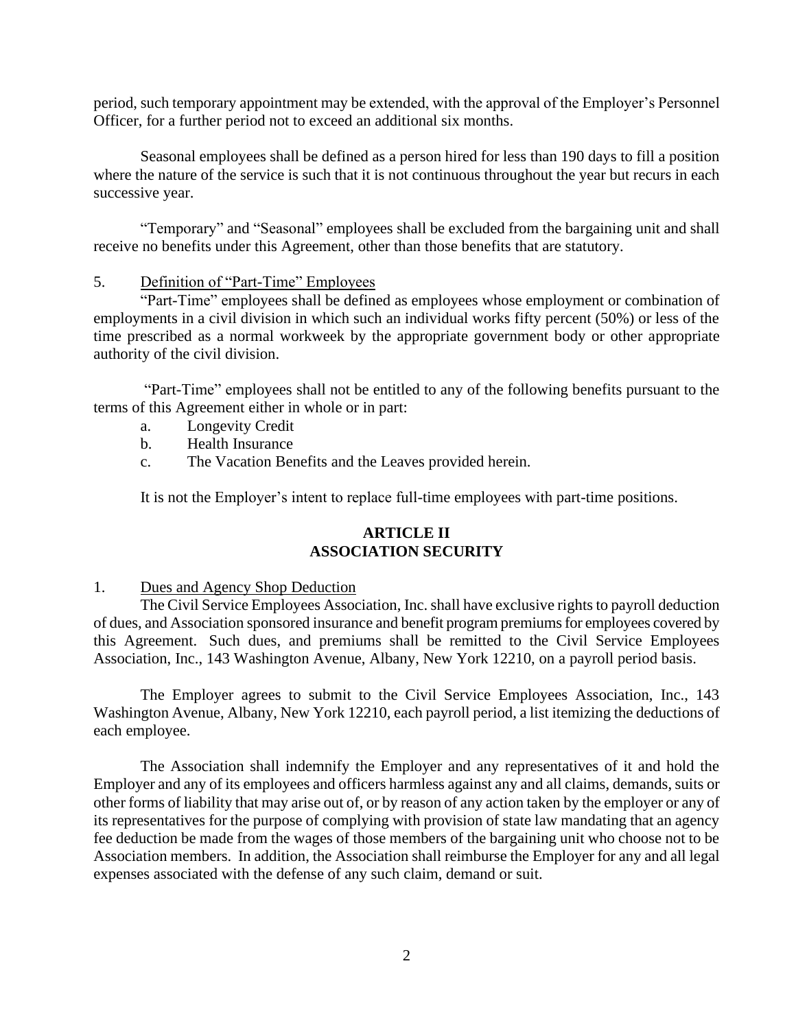period, such temporary appointment may be extended, with the approval of the Employer's Personnel Officer, for a further period not to exceed an additional six months.

Seasonal employees shall be defined as a person hired for less than 190 days to fill a position where the nature of the service is such that it is not continuous throughout the year but recurs in each successive year.

"Temporary" and "Seasonal" employees shall be excluded from the bargaining unit and shall receive no benefits under this Agreement, other than those benefits that are statutory.

## 5. Definition of "Part-Time" Employees

"Part-Time" employees shall be defined as employees whose employment or combination of employments in a civil division in which such an individual works fifty percent (50%) or less of the time prescribed as a normal workweek by the appropriate government body or other appropriate authority of the civil division.

"Part-Time" employees shall not be entitled to any of the following benefits pursuant to the terms of this Agreement either in whole or in part:

- a. Longevity Credit
- b. Health Insurance
- c. The Vacation Benefits and the Leaves provided herein.

It is not the Employer's intent to replace full-time employees with part-time positions.

## **ARTICLE II ASSOCIATION SECURITY**

## 1. Dues and Agency Shop Deduction

The Civil Service Employees Association, Inc. shall have exclusive rights to payroll deduction of dues, and Association sponsored insurance and benefit program premiums for employees covered by this Agreement. Such dues, and premiums shall be remitted to the Civil Service Employees Association, Inc., 143 Washington Avenue, Albany, New York 12210, on a payroll period basis.

The Employer agrees to submit to the Civil Service Employees Association, Inc., 143 Washington Avenue, Albany, New York 12210, each payroll period, a list itemizing the deductions of each employee.

The Association shall indemnify the Employer and any representatives of it and hold the Employer and any of its employees and officers harmless against any and all claims, demands, suits or other forms of liability that may arise out of, or by reason of any action taken by the employer or any of its representatives for the purpose of complying with provision of state law mandating that an agency fee deduction be made from the wages of those members of the bargaining unit who choose not to be Association members. In addition, the Association shall reimburse the Employer for any and all legal expenses associated with the defense of any such claim, demand or suit.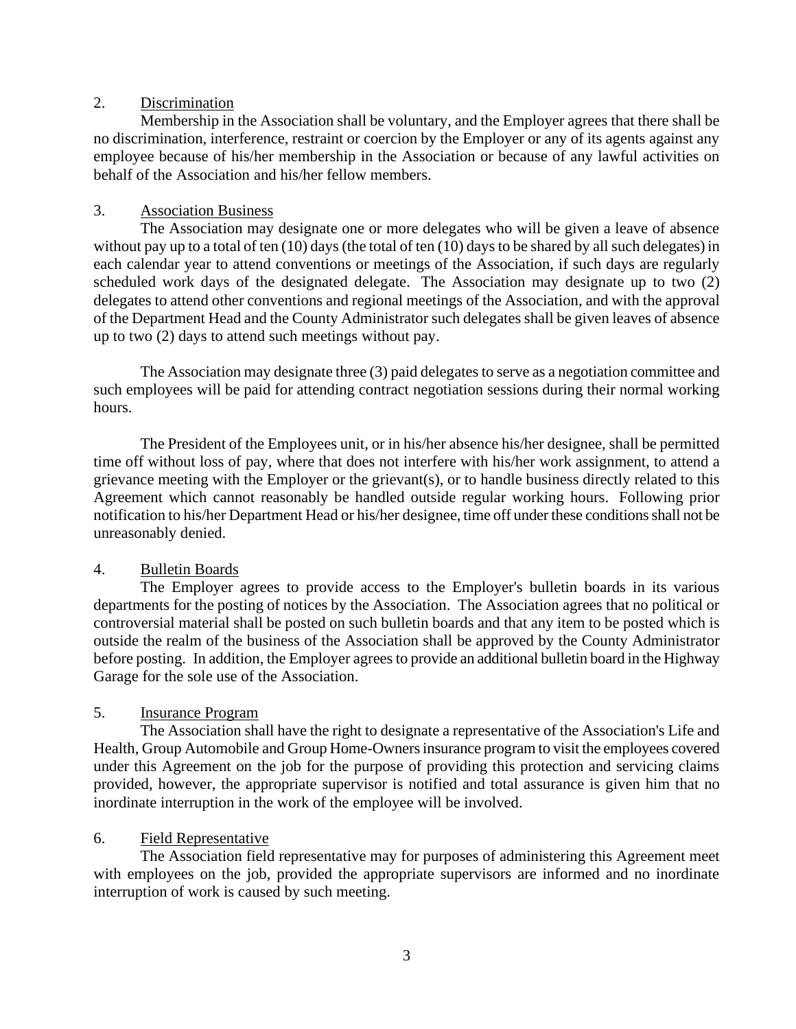## 2. Discrimination

Membership in the Association shall be voluntary, and the Employer agrees that there shall be no discrimination, interference, restraint or coercion by the Employer or any of its agents against any employee because of his/her membership in the Association or because of any lawful activities on behalf of the Association and his/her fellow members.

# 3. Association Business

The Association may designate one or more delegates who will be given a leave of absence without pay up to a total of ten (10) days (the total of ten (10) days to be shared by all such delegates) in each calendar year to attend conventions or meetings of the Association, if such days are regularly scheduled work days of the designated delegate. The Association may designate up to two (2) delegates to attend other conventions and regional meetings of the Association, and with the approval of the Department Head and the County Administrator such delegates shall be given leaves of absence up to two (2) days to attend such meetings without pay.

The Association may designate three (3) paid delegates to serve as a negotiation committee and such employees will be paid for attending contract negotiation sessions during their normal working hours.

The President of the Employees unit, or in his/her absence his/her designee, shall be permitted time off without loss of pay, where that does not interfere with his/her work assignment, to attend a grievance meeting with the Employer or the grievant(s), or to handle business directly related to this Agreement which cannot reasonably be handled outside regular working hours. Following prior notification to his/her Department Head or his/her designee, time off under these conditions shall not be unreasonably denied.

# 4. Bulletin Boards

The Employer agrees to provide access to the Employer's bulletin boards in its various departments for the posting of notices by the Association. The Association agrees that no political or controversial material shall be posted on such bulletin boards and that any item to be posted which is outside the realm of the business of the Association shall be approved by the County Administrator before posting. In addition, the Employer agrees to provide an additional bulletin board in the Highway Garage for the sole use of the Association.

## 5. Insurance Program

The Association shall have the right to designate a representative of the Association's Life and Health, Group Automobile and Group Home-Owners insurance program to visit the employees covered under this Agreement on the job for the purpose of providing this protection and servicing claims provided, however, the appropriate supervisor is notified and total assurance is given him that no inordinate interruption in the work of the employee will be involved.

## 6. Field Representative

The Association field representative may for purposes of administering this Agreement meet with employees on the job, provided the appropriate supervisors are informed and no inordinate interruption of work is caused by such meeting.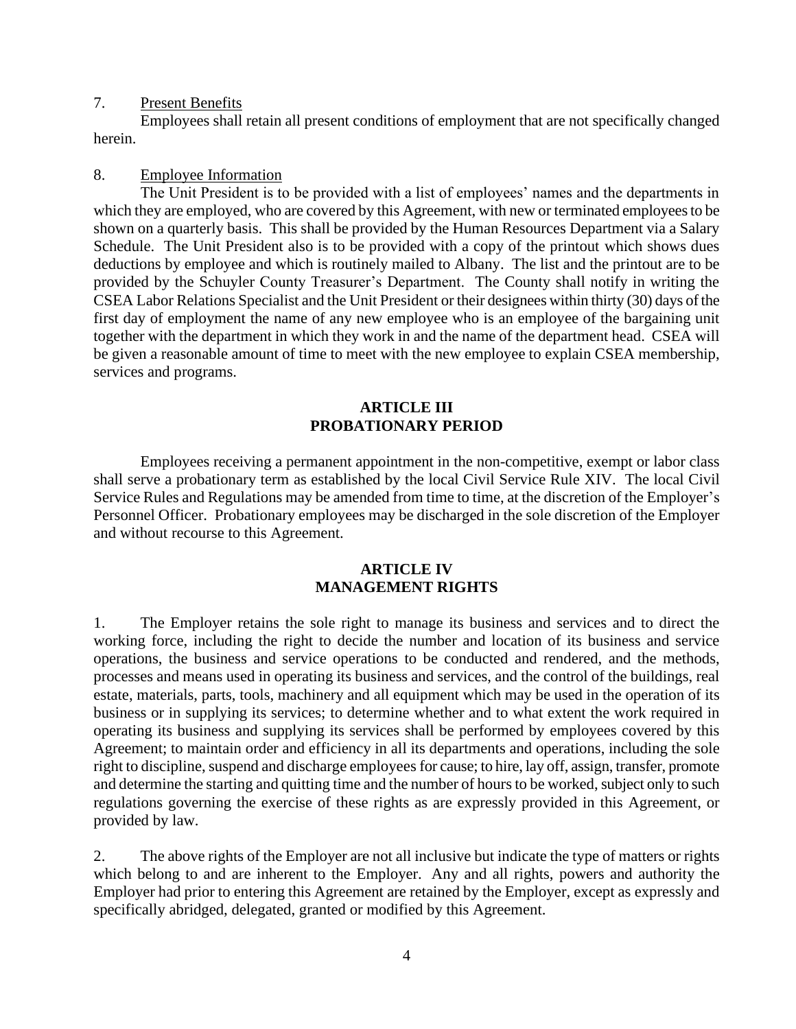#### 7. Present Benefits

Employees shall retain all present conditions of employment that are not specifically changed herein.

#### 8. Employee Information

The Unit President is to be provided with a list of employees' names and the departments in which they are employed, who are covered by this Agreement, with new or terminated employees to be shown on a quarterly basis. This shall be provided by the Human Resources Department via a Salary Schedule. The Unit President also is to be provided with a copy of the printout which shows dues deductions by employee and which is routinely mailed to Albany. The list and the printout are to be provided by the Schuyler County Treasurer's Department. The County shall notify in writing the CSEA Labor Relations Specialist and the Unit President or their designees within thirty (30) days of the first day of employment the name of any new employee who is an employee of the bargaining unit together with the department in which they work in and the name of the department head. CSEA will be given a reasonable amount of time to meet with the new employee to explain CSEA membership, services and programs.

#### **ARTICLE III PROBATIONARY PERIOD**

Employees receiving a permanent appointment in the non-competitive, exempt or labor class shall serve a probationary term as established by the local Civil Service Rule XIV. The local Civil Service Rules and Regulations may be amended from time to time, at the discretion of the Employer's Personnel Officer. Probationary employees may be discharged in the sole discretion of the Employer and without recourse to this Agreement.

## **ARTICLE IV MANAGEMENT RIGHTS**

1. The Employer retains the sole right to manage its business and services and to direct the working force, including the right to decide the number and location of its business and service operations, the business and service operations to be conducted and rendered, and the methods, processes and means used in operating its business and services, and the control of the buildings, real estate, materials, parts, tools, machinery and all equipment which may be used in the operation of its business or in supplying its services; to determine whether and to what extent the work required in operating its business and supplying its services shall be performed by employees covered by this Agreement; to maintain order and efficiency in all its departments and operations, including the sole right to discipline, suspend and discharge employees for cause; to hire, lay off, assign, transfer, promote and determine the starting and quitting time and the number of hours to be worked, subject only to such regulations governing the exercise of these rights as are expressly provided in this Agreement, or provided by law.

2. The above rights of the Employer are not all inclusive but indicate the type of matters or rights which belong to and are inherent to the Employer. Any and all rights, powers and authority the Employer had prior to entering this Agreement are retained by the Employer, except as expressly and specifically abridged, delegated, granted or modified by this Agreement.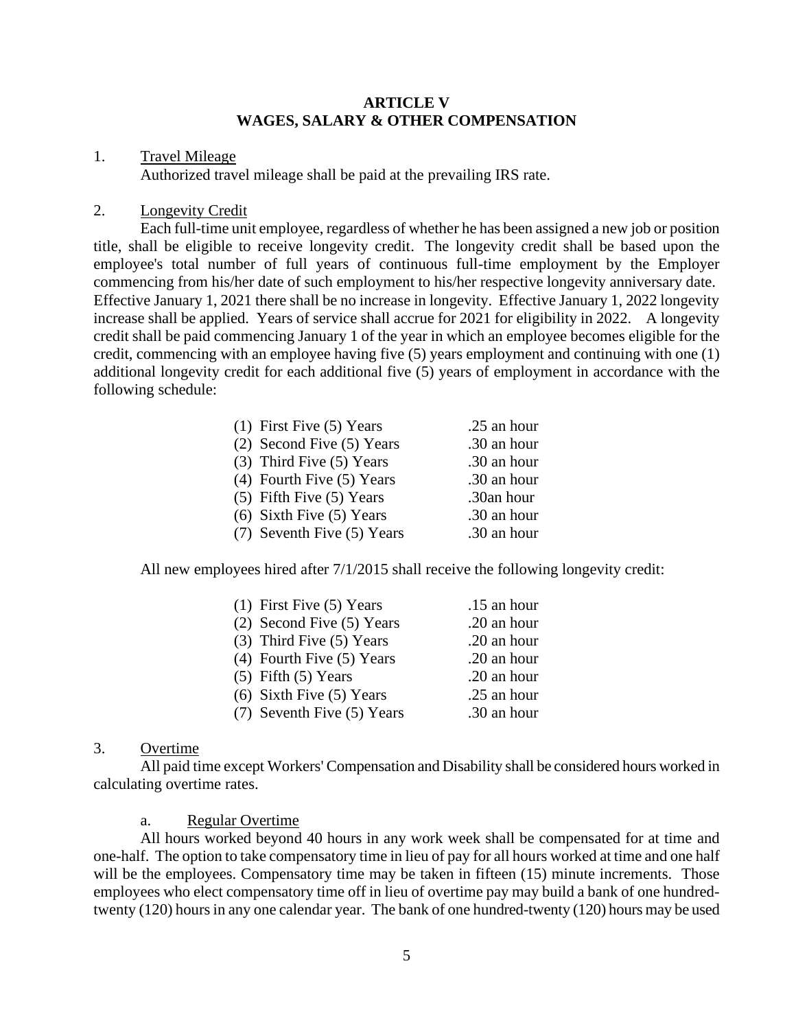#### **ARTICLE V WAGES, SALARY & OTHER COMPENSATION**

#### 1. Travel Mileage

Authorized travel mileage shall be paid at the prevailing IRS rate.

## 2. Longevity Credit

Each full-time unit employee, regardless of whether he has been assigned a new job or position title, shall be eligible to receive longevity credit. The longevity credit shall be based upon the employee's total number of full years of continuous full-time employment by the Employer commencing from his/her date of such employment to his/her respective longevity anniversary date. Effective January 1, 2021 there shall be no increase in longevity. Effective January 1, 2022 longevity increase shall be applied. Years of service shall accrue for 2021 for eligibility in 2022. A longevity credit shall be paid commencing January 1 of the year in which an employee becomes eligible for the credit, commencing with an employee having five (5) years employment and continuing with one (1) additional longevity credit for each additional five (5) years of employment in accordance with the following schedule:

| $(1)$ First Five $(5)$ Years  | .25 an hour |
|-------------------------------|-------------|
| (2) Second Five (5) Years     | .30 an hour |
| $(3)$ Third Five $(5)$ Years  | .30 an hour |
| $(4)$ Fourth Five $(5)$ Years | .30 an hour |
| $(5)$ Fifth Five $(5)$ Years  | .30an hour  |
| $(6)$ Sixth Five $(5)$ Years  | .30 an hour |
| (7) Seventh Five (5) Years    | .30 an hour |

All new employees hired after 7/1/2015 shall receive the following longevity credit:

| $(1)$ First Five $(5)$ Years  | .15 an hour |
|-------------------------------|-------------|
| (2) Second Five (5) Years     | .20 an hour |
| $(3)$ Third Five $(5)$ Years  | .20 an hour |
| $(4)$ Fourth Five $(5)$ Years | .20 an hour |
| $(5)$ Fifth $(5)$ Years       | .20 an hour |
| $(6)$ Sixth Five $(5)$ Years  | .25 an hour |
| (7) Seventh Five (5) Years    | .30 an hour |

## 3. Overtime

All paid time except Workers' Compensation and Disability shall be considered hours worked in calculating overtime rates.

a. Regular Overtime

All hours worked beyond 40 hours in any work week shall be compensated for at time and one-half. The option to take compensatory time in lieu of pay for all hours worked at time and one half will be the employees. Compensatory time may be taken in fifteen (15) minute increments. Those employees who elect compensatory time off in lieu of overtime pay may build a bank of one hundredtwenty (120) hours in any one calendar year. The bank of one hundred-twenty (120) hours may be used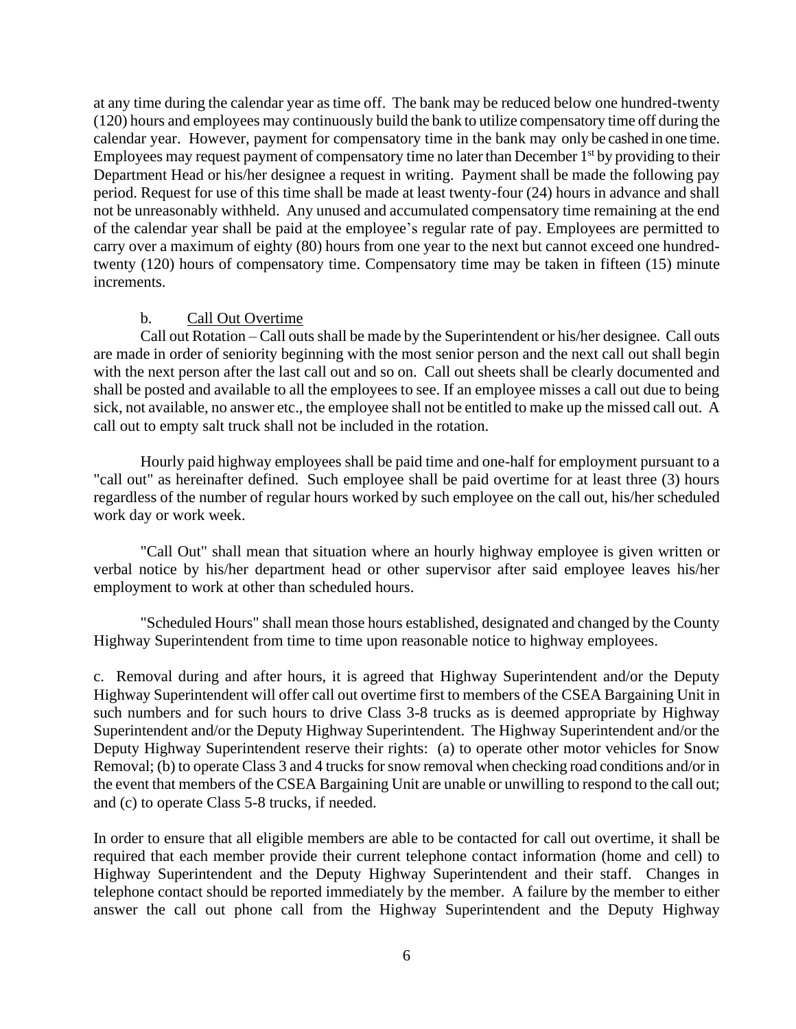at any time during the calendar year as time off. The bank may be reduced below one hundred-twenty (120) hours and employees may continuously build the bank to utilize compensatory time off during the calendar year. However, payment for compensatory time in the bank may only be cashed in one time. Employees may request payment of compensatory time no later than December  $1<sup>st</sup>$  by providing to their Department Head or his/her designee a request in writing. Payment shall be made the following pay period. Request for use of this time shall be made at least twenty-four (24) hours in advance and shall not be unreasonably withheld. Any unused and accumulated compensatory time remaining at the end of the calendar year shall be paid at the employee's regular rate of pay. Employees are permitted to carry over a maximum of eighty (80) hours from one year to the next but cannot exceed one hundredtwenty (120) hours of compensatory time. Compensatory time may be taken in fifteen (15) minute increments.

## b. Call Out Overtime

Call out Rotation – Call outs shall be made by the Superintendent or his/her designee. Call outs are made in order of seniority beginning with the most senior person and the next call out shall begin with the next person after the last call out and so on. Call out sheets shall be clearly documented and shall be posted and available to all the employees to see. If an employee misses a call out due to being sick, not available, no answer etc., the employee shall not be entitled to make up the missed call out. A call out to empty salt truck shall not be included in the rotation.

Hourly paid highway employees shall be paid time and one-half for employment pursuant to a "call out" as hereinafter defined. Such employee shall be paid overtime for at least three (3) hours regardless of the number of regular hours worked by such employee on the call out, his/her scheduled work day or work week.

"Call Out" shall mean that situation where an hourly highway employee is given written or verbal notice by his/her department head or other supervisor after said employee leaves his/her employment to work at other than scheduled hours.

"Scheduled Hours" shall mean those hours established, designated and changed by the County Highway Superintendent from time to time upon reasonable notice to highway employees.

c. Removal during and after hours, it is agreed that Highway Superintendent and/or the Deputy Highway Superintendent will offer call out overtime first to members of the CSEA Bargaining Unit in such numbers and for such hours to drive Class 3-8 trucks as is deemed appropriate by Highway Superintendent and/or the Deputy Highway Superintendent. The Highway Superintendent and/or the Deputy Highway Superintendent reserve their rights: (a) to operate other motor vehicles for Snow Removal; (b) to operate Class 3 and 4 trucks for snow removal when checking road conditions and/or in the event that members of the CSEA Bargaining Unit are unable or unwilling to respond to the call out; and (c) to operate Class 5-8 trucks, if needed.

In order to ensure that all eligible members are able to be contacted for call out overtime, it shall be required that each member provide their current telephone contact information (home and cell) to Highway Superintendent and the Deputy Highway Superintendent and their staff. Changes in telephone contact should be reported immediately by the member. A failure by the member to either answer the call out phone call from the Highway Superintendent and the Deputy Highway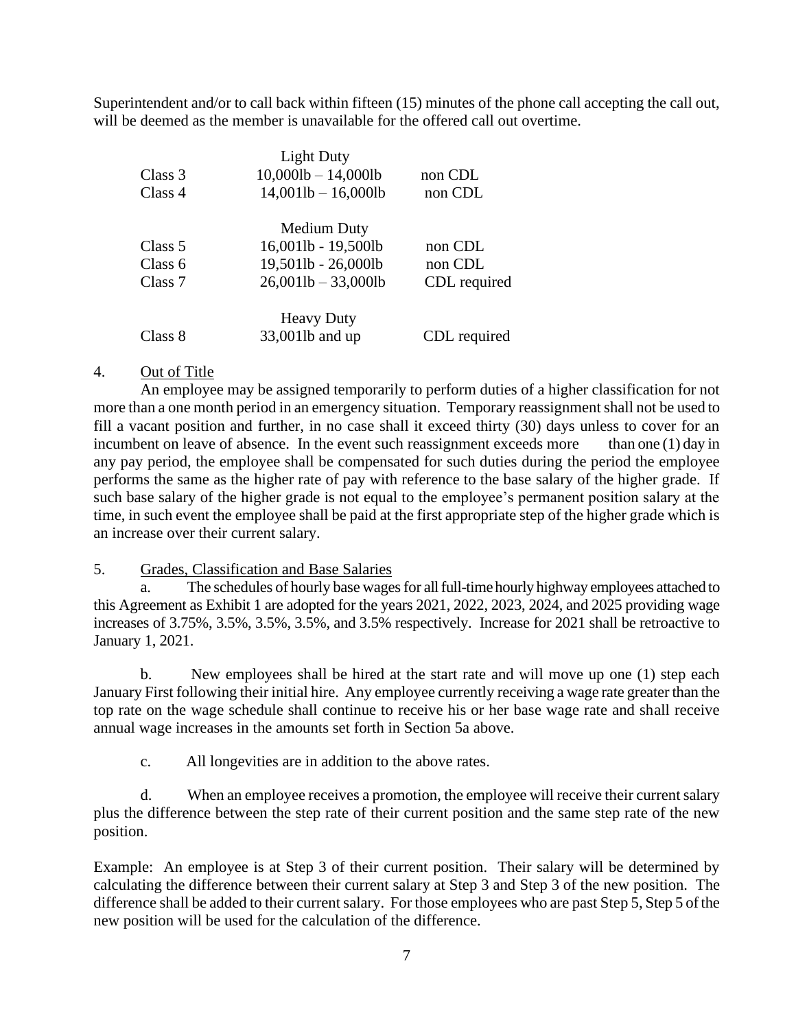Superintendent and/or to call back within fifteen (15) minutes of the phone call accepting the call out, will be deemed as the member is unavailable for the offered call out overtime.

|         | <b>Light Duty</b>         |              |
|---------|---------------------------|--------------|
| Class 3 | $10,0001b - 14,0001b$     | non CDL      |
| Class 4 | $14,001$ lb $- 16,000$ lb | non CDL      |
|         | Medium Duty               |              |
| Class 5 | 16,001lb - 19,500lb       | non CDL      |
| Class 6 | 19,501lb - 26,000lb       | non CDL      |
| Class 7 | $26,0011b - 33,0001b$     | CDL required |
|         | <b>Heavy Duty</b>         |              |
| Class 8 | 33,001lb and up           | CDL required |

# 4. Out of Title

An employee may be assigned temporarily to perform duties of a higher classification for not more than a one month period in an emergency situation. Temporary reassignment shall not be used to fill a vacant position and further, in no case shall it exceed thirty (30) days unless to cover for an incumbent on leave of absence. In the event such reassignment exceeds more than one (1) day in any pay period, the employee shall be compensated for such duties during the period the employee performs the same as the higher rate of pay with reference to the base salary of the higher grade. If such base salary of the higher grade is not equal to the employee's permanent position salary at the time, in such event the employee shall be paid at the first appropriate step of the higher grade which is an increase over their current salary.

5. Grades, Classification and Base Salaries

a. The schedules of hourly base wages for all full-time hourly highway employees attached to this Agreement as Exhibit 1 are adopted for the years 2021, 2022, 2023, 2024, and 2025 providing wage increases of 3.75%, 3.5%, 3.5%, 3.5%, and 3.5% respectively. Increase for 2021 shall be retroactive to January 1, 2021.

b. New employees shall be hired at the start rate and will move up one (1) step each January First following their initial hire. Any employee currently receiving a wage rate greater than the top rate on the wage schedule shall continue to receive his or her base wage rate and shall receive annual wage increases in the amounts set forth in Section 5a above.

c. All longevities are in addition to the above rates.

d. When an employee receives a promotion, the employee will receive their current salary plus the difference between the step rate of their current position and the same step rate of the new position.

Example: An employee is at Step 3 of their current position. Their salary will be determined by calculating the difference between their current salary at Step 3 and Step 3 of the new position. The difference shall be added to their current salary. For those employees who are past Step 5, Step 5 of the new position will be used for the calculation of the difference.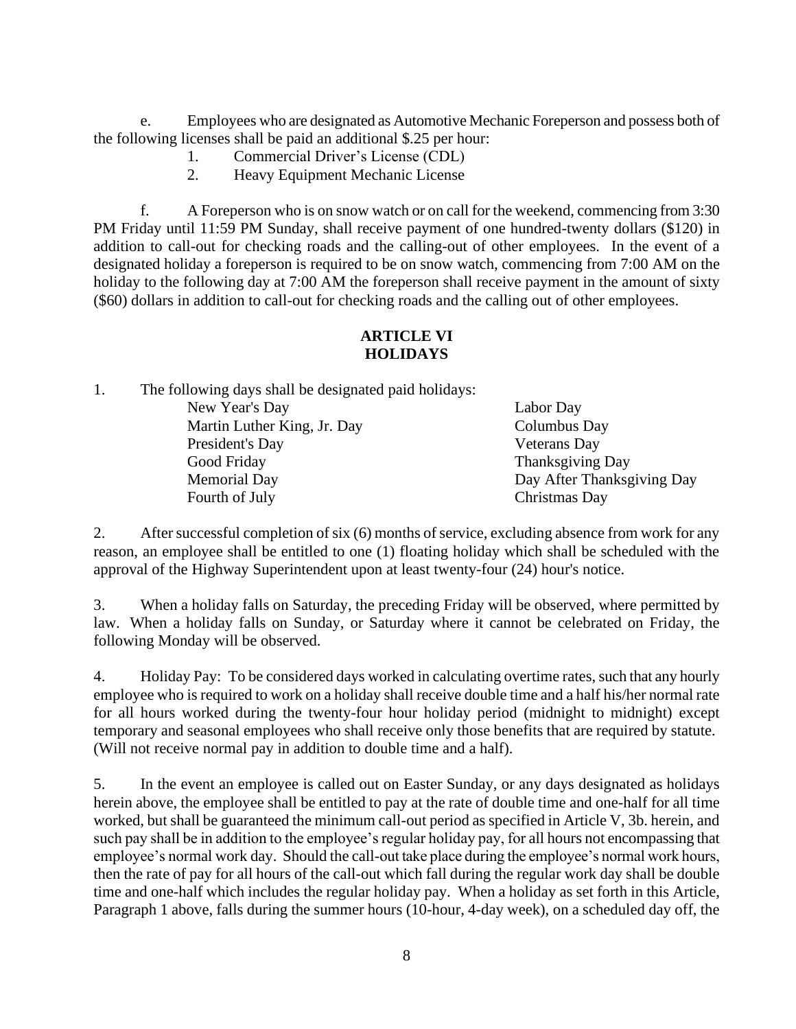e. Employees who are designated as Automotive Mechanic Foreperson and possess both of the following licenses shall be paid an additional \$.25 per hour:

- 1. Commercial Driver's License (CDL)
- 2. Heavy Equipment Mechanic License

f. A Foreperson who is on snow watch or on call for the weekend, commencing from 3:30 PM Friday until 11:59 PM Sunday, shall receive payment of one hundred-twenty dollars (\$120) in addition to call-out for checking roads and the calling-out of other employees. In the event of a designated holiday a foreperson is required to be on snow watch, commencing from 7:00 AM on the holiday to the following day at 7:00 AM the foreperson shall receive payment in the amount of sixty (\$60) dollars in addition to call-out for checking roads and the calling out of other employees.

# **ARTICLE VI HOLIDAYS**

1. The following days shall be designated paid holidays:

| New Year's Day              | Labor Day                  |
|-----------------------------|----------------------------|
| Martin Luther King, Jr. Day | Columbus Day               |
| President's Day             | <b>Veterans</b> Day        |
| Good Friday                 | Thanksgiving Day           |
| <b>Memorial Day</b>         | Day After Thanksgiving Day |
| Fourth of July              | Christmas Day              |

2. After successful completion of six (6) months of service, excluding absence from work for any reason, an employee shall be entitled to one (1) floating holiday which shall be scheduled with the approval of the Highway Superintendent upon at least twenty-four (24) hour's notice.

3. When a holiday falls on Saturday, the preceding Friday will be observed, where permitted by law. When a holiday falls on Sunday, or Saturday where it cannot be celebrated on Friday, the following Monday will be observed.

4. Holiday Pay: To be considered days worked in calculating overtime rates, such that any hourly employee who is required to work on a holiday shall receive double time and a half his/her normal rate for all hours worked during the twenty-four hour holiday period (midnight to midnight) except temporary and seasonal employees who shall receive only those benefits that are required by statute. (Will not receive normal pay in addition to double time and a half).

5. In the event an employee is called out on Easter Sunday, or any days designated as holidays herein above, the employee shall be entitled to pay at the rate of double time and one-half for all time worked, but shall be guaranteed the minimum call-out period as specified in Article V, 3b. herein, and such pay shall be in addition to the employee's regular holiday pay, for all hours not encompassing that employee's normal work day. Should the call-out take place during the employee's normal work hours, then the rate of pay for all hours of the call-out which fall during the regular work day shall be double time and one-half which includes the regular holiday pay. When a holiday as set forth in this Article, Paragraph 1 above, falls during the summer hours (10-hour, 4-day week), on a scheduled day off, the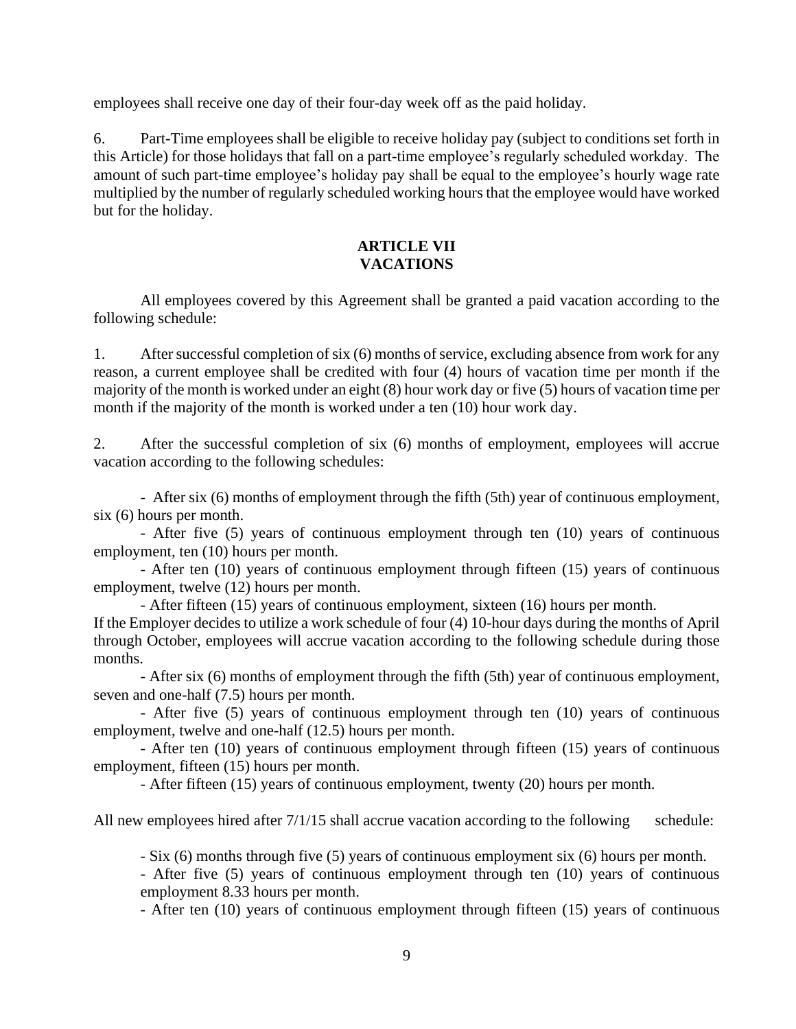employees shall receive one day of their four-day week off as the paid holiday.

6. Part-Time employees shall be eligible to receive holiday pay (subject to conditions set forth in this Article) for those holidays that fall on a part-time employee's regularly scheduled workday. The amount of such part-time employee's holiday pay shall be equal to the employee's hourly wage rate multiplied by the number of regularly scheduled working hours that the employee would have worked but for the holiday.

## **ARTICLE VII VACATIONS**

All employees covered by this Agreement shall be granted a paid vacation according to the following schedule:

1. After successful completion of six (6) months of service, excluding absence from work for any reason, a current employee shall be credited with four (4) hours of vacation time per month if the majority of the month is worked under an eight (8) hour work day or five (5) hours of vacation time per month if the majority of the month is worked under a ten (10) hour work day.

2. After the successful completion of six (6) months of employment, employees will accrue vacation according to the following schedules:

- After six (6) months of employment through the fifth (5th) year of continuous employment, six (6) hours per month.

- After five (5) years of continuous employment through ten (10) years of continuous employment, ten (10) hours per month.

- After ten (10) years of continuous employment through fifteen (15) years of continuous employment, twelve (12) hours per month.

- After fifteen (15) years of continuous employment, sixteen (16) hours per month.

If the Employer decides to utilize a work schedule of four (4) 10-hour days during the months of April through October, employees will accrue vacation according to the following schedule during those months.

- After six (6) months of employment through the fifth (5th) year of continuous employment, seven and one-half (7.5) hours per month.

- After five (5) years of continuous employment through ten (10) years of continuous employment, twelve and one-half (12.5) hours per month.

- After ten (10) years of continuous employment through fifteen (15) years of continuous employment, fifteen (15) hours per month.

- After fifteen (15) years of continuous employment, twenty (20) hours per month.

All new employees hired after  $7/1/15$  shall accrue vacation according to the following schedule:

- Six (6) months through five (5) years of continuous employment six (6) hours per month.

- After five (5) years of continuous employment through ten (10) years of continuous employment 8.33 hours per month.

- After ten (10) years of continuous employment through fifteen (15) years of continuous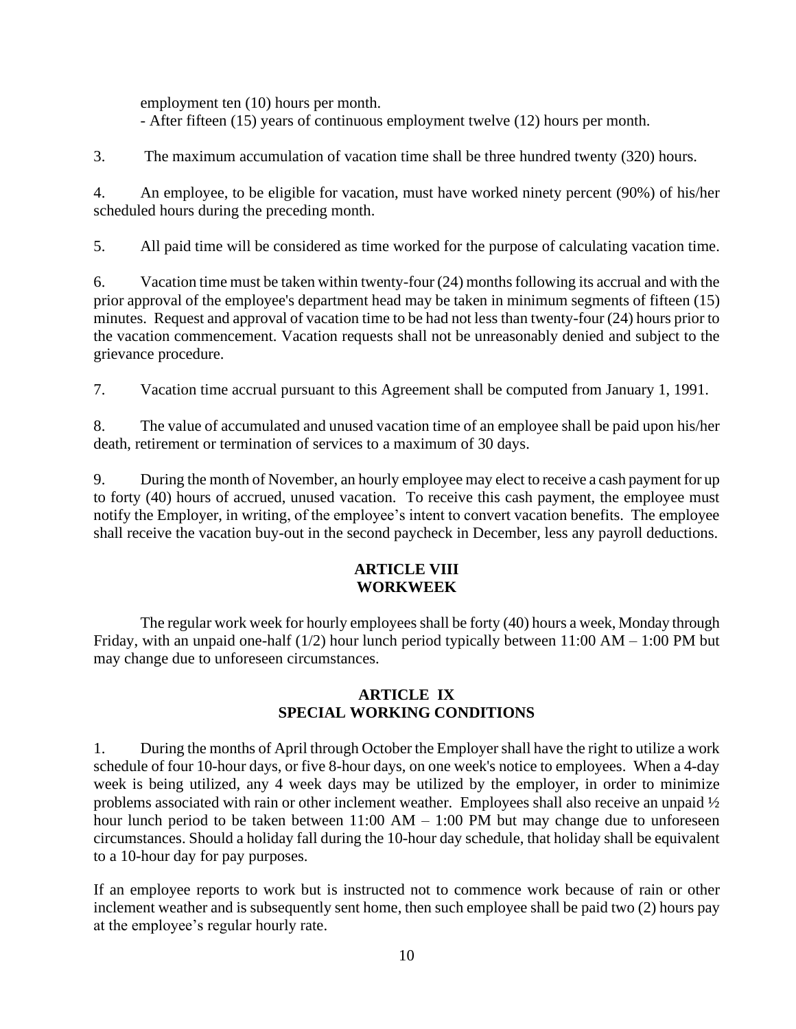employment ten (10) hours per month. - After fifteen (15) years of continuous employment twelve (12) hours per month.

3. The maximum accumulation of vacation time shall be three hundred twenty (320) hours.

4. An employee, to be eligible for vacation, must have worked ninety percent (90%) of his/her scheduled hours during the preceding month.

5. All paid time will be considered as time worked for the purpose of calculating vacation time.

6. Vacation time must be taken within twenty-four (24) months following its accrual and with the prior approval of the employee's department head may be taken in minimum segments of fifteen (15) minutes. Request and approval of vacation time to be had not less than twenty-four (24) hours prior to the vacation commencement. Vacation requests shall not be unreasonably denied and subject to the grievance procedure.

7. Vacation time accrual pursuant to this Agreement shall be computed from January 1, 1991.

8. The value of accumulated and unused vacation time of an employee shall be paid upon his/her death, retirement or termination of services to a maximum of 30 days.

9. During the month of November, an hourly employee may elect to receive a cash payment for up to forty (40) hours of accrued, unused vacation. To receive this cash payment, the employee must notify the Employer, in writing, of the employee's intent to convert vacation benefits. The employee shall receive the vacation buy-out in the second paycheck in December, less any payroll deductions.

# **ARTICLE VIII WORKWEEK**

The regular work week for hourly employees shall be forty (40) hours a week, Monday through Friday, with an unpaid one-half (1/2) hour lunch period typically between 11:00 AM – 1:00 PM but may change due to unforeseen circumstances.

## **ARTICLE IX SPECIAL WORKING CONDITIONS**

1. During the months of April through October the Employer shall have the right to utilize a work schedule of four 10-hour days, or five 8-hour days, on one week's notice to employees. When a 4-day week is being utilized, any 4 week days may be utilized by the employer, in order to minimize problems associated with rain or other inclement weather. Employees shall also receive an unpaid ½ hour lunch period to be taken between  $11:00$  AM  $- 1:00$  PM but may change due to unforeseen circumstances. Should a holiday fall during the 10-hour day schedule, that holiday shall be equivalent to a 10-hour day for pay purposes.

If an employee reports to work but is instructed not to commence work because of rain or other inclement weather and is subsequently sent home, then such employee shall be paid two (2) hours pay at the employee's regular hourly rate.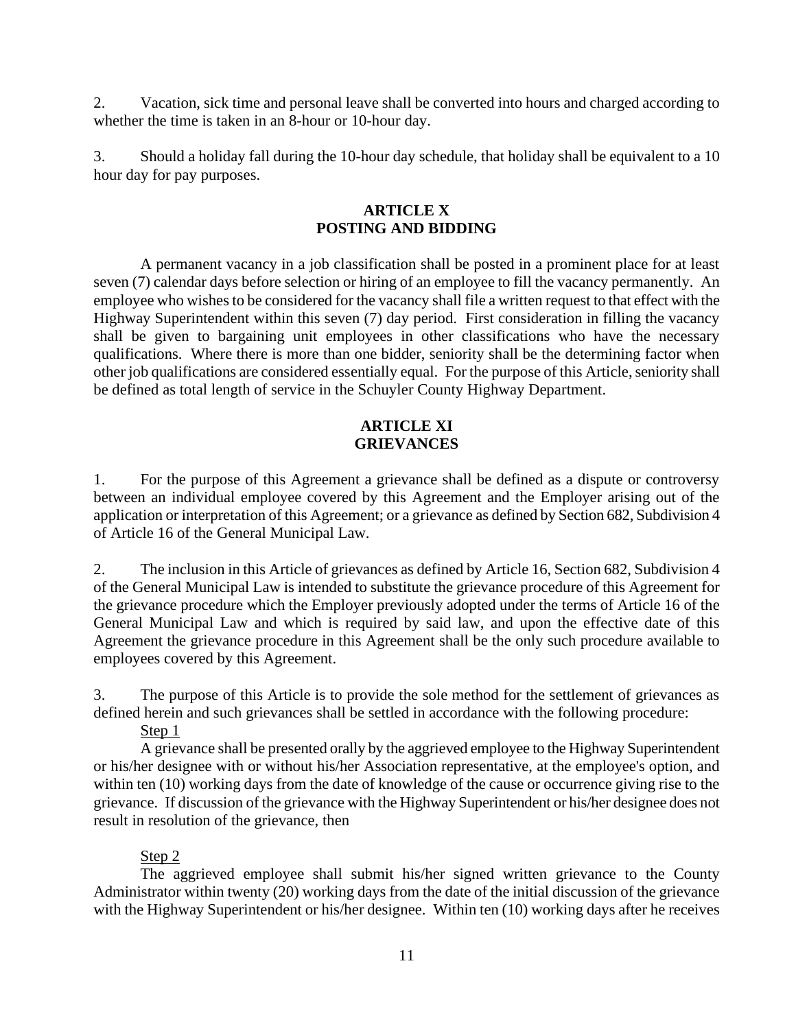2. Vacation, sick time and personal leave shall be converted into hours and charged according to whether the time is taken in an 8-hour or 10-hour day.

3. Should a holiday fall during the 10-hour day schedule, that holiday shall be equivalent to a 10 hour day for pay purposes.

# **ARTICLE X POSTING AND BIDDING**

A permanent vacancy in a job classification shall be posted in a prominent place for at least seven (7) calendar days before selection or hiring of an employee to fill the vacancy permanently. An employee who wishes to be considered for the vacancy shall file a written request to that effect with the Highway Superintendent within this seven (7) day period. First consideration in filling the vacancy shall be given to bargaining unit employees in other classifications who have the necessary qualifications. Where there is more than one bidder, seniority shall be the determining factor when other job qualifications are considered essentially equal. For the purpose of this Article, seniority shall be defined as total length of service in the Schuyler County Highway Department.

# **ARTICLE XI GRIEVANCES**

1. For the purpose of this Agreement a grievance shall be defined as a dispute or controversy between an individual employee covered by this Agreement and the Employer arising out of the application or interpretation of this Agreement; or a grievance as defined by Section 682, Subdivision 4 of Article 16 of the General Municipal Law.

2. The inclusion in this Article of grievances as defined by Article 16, Section 682, Subdivision 4 of the General Municipal Law is intended to substitute the grievance procedure of this Agreement for the grievance procedure which the Employer previously adopted under the terms of Article 16 of the General Municipal Law and which is required by said law, and upon the effective date of this Agreement the grievance procedure in this Agreement shall be the only such procedure available to employees covered by this Agreement.

3. The purpose of this Article is to provide the sole method for the settlement of grievances as defined herein and such grievances shall be settled in accordance with the following procedure:

Step 1

A grievance shall be presented orally by the aggrieved employee to the Highway Superintendent or his/her designee with or without his/her Association representative, at the employee's option, and within ten (10) working days from the date of knowledge of the cause or occurrence giving rise to the grievance. If discussion of the grievance with the Highway Superintendent or his/her designee does not result in resolution of the grievance, then

## Step 2

The aggrieved employee shall submit his/her signed written grievance to the County Administrator within twenty (20) working days from the date of the initial discussion of the grievance with the Highway Superintendent or his/her designee. Within ten (10) working days after he receives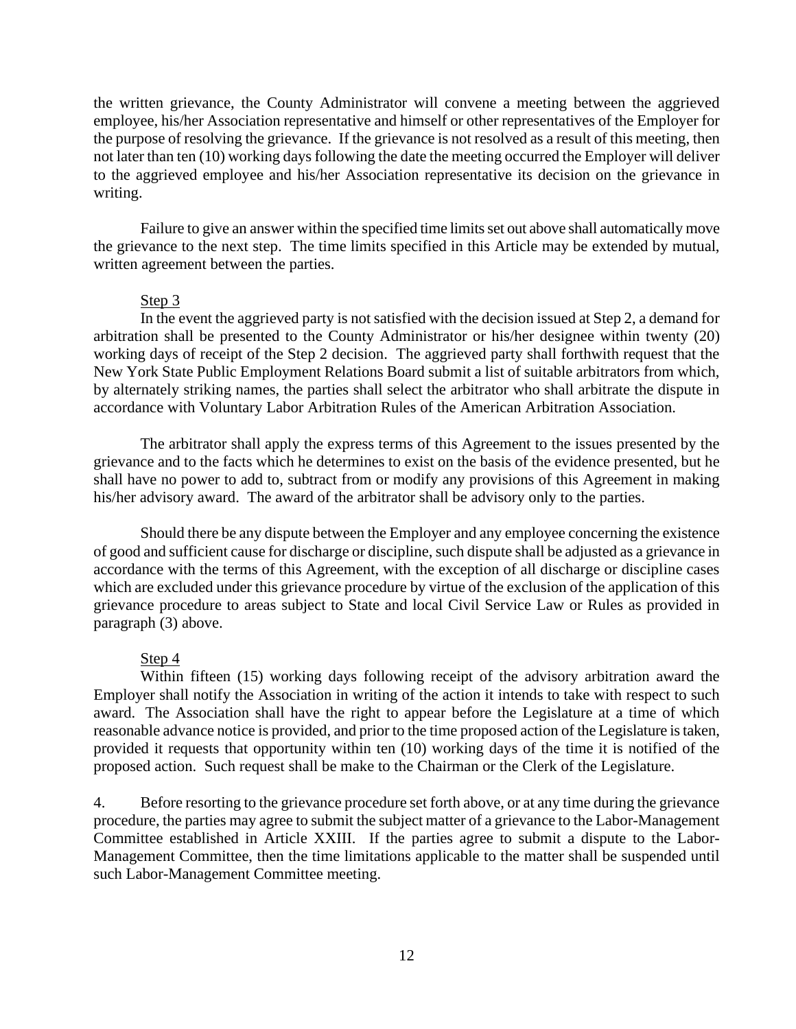the written grievance, the County Administrator will convene a meeting between the aggrieved employee, his/her Association representative and himself or other representatives of the Employer for the purpose of resolving the grievance. If the grievance is not resolved as a result of this meeting, then not later than ten (10) working days following the date the meeting occurred the Employer will deliver to the aggrieved employee and his/her Association representative its decision on the grievance in writing.

Failure to give an answer within the specified time limits set out above shall automatically move the grievance to the next step. The time limits specified in this Article may be extended by mutual, written agreement between the parties.

#### Step 3

In the event the aggrieved party is not satisfied with the decision issued at Step 2, a demand for arbitration shall be presented to the County Administrator or his/her designee within twenty (20) working days of receipt of the Step 2 decision. The aggrieved party shall forthwith request that the New York State Public Employment Relations Board submit a list of suitable arbitrators from which, by alternately striking names, the parties shall select the arbitrator who shall arbitrate the dispute in accordance with Voluntary Labor Arbitration Rules of the American Arbitration Association.

The arbitrator shall apply the express terms of this Agreement to the issues presented by the grievance and to the facts which he determines to exist on the basis of the evidence presented, but he shall have no power to add to, subtract from or modify any provisions of this Agreement in making his/her advisory award. The award of the arbitrator shall be advisory only to the parties.

Should there be any dispute between the Employer and any employee concerning the existence of good and sufficient cause for discharge or discipline, such dispute shall be adjusted as a grievance in accordance with the terms of this Agreement, with the exception of all discharge or discipline cases which are excluded under this grievance procedure by virtue of the exclusion of the application of this grievance procedure to areas subject to State and local Civil Service Law or Rules as provided in paragraph (3) above.

#### Step 4

Within fifteen (15) working days following receipt of the advisory arbitration award the Employer shall notify the Association in writing of the action it intends to take with respect to such award. The Association shall have the right to appear before the Legislature at a time of which reasonable advance notice is provided, and prior to the time proposed action of the Legislature is taken, provided it requests that opportunity within ten (10) working days of the time it is notified of the proposed action. Such request shall be make to the Chairman or the Clerk of the Legislature.

4. Before resorting to the grievance procedure set forth above, or at any time during the grievance procedure, the parties may agree to submit the subject matter of a grievance to the Labor-Management Committee established in Article XXIII. If the parties agree to submit a dispute to the Labor-Management Committee, then the time limitations applicable to the matter shall be suspended until such Labor-Management Committee meeting.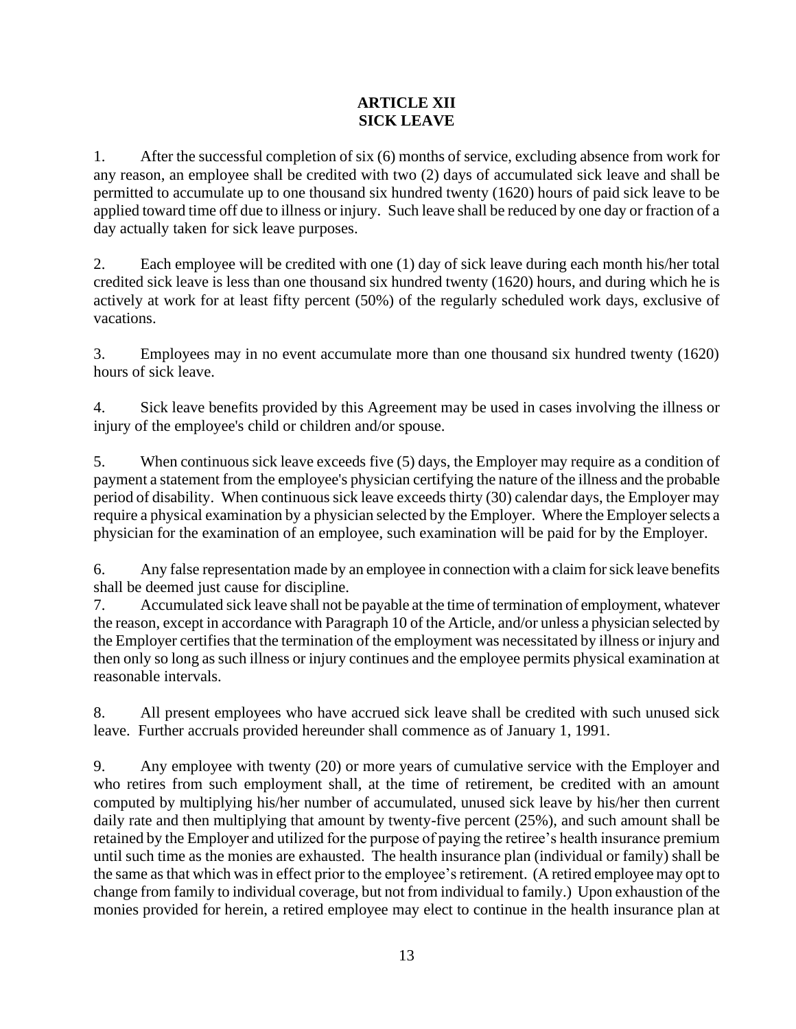# **ARTICLE XII SICK LEAVE**

1. After the successful completion of six (6) months of service, excluding absence from work for any reason, an employee shall be credited with two (2) days of accumulated sick leave and shall be permitted to accumulate up to one thousand six hundred twenty (1620) hours of paid sick leave to be applied toward time off due to illness or injury. Such leave shall be reduced by one day or fraction of a day actually taken for sick leave purposes.

2. Each employee will be credited with one (1) day of sick leave during each month his/her total credited sick leave is less than one thousand six hundred twenty (1620) hours, and during which he is actively at work for at least fifty percent (50%) of the regularly scheduled work days, exclusive of vacations.

3. Employees may in no event accumulate more than one thousand six hundred twenty (1620) hours of sick leave.

4. Sick leave benefits provided by this Agreement may be used in cases involving the illness or injury of the employee's child or children and/or spouse.

5. When continuous sick leave exceeds five (5) days, the Employer may require as a condition of payment a statement from the employee's physician certifying the nature of the illness and the probable period of disability. When continuous sick leave exceeds thirty (30) calendar days, the Employer may require a physical examination by a physician selected by the Employer. Where the Employer selects a physician for the examination of an employee, such examination will be paid for by the Employer.

6. Any false representation made by an employee in connection with a claim for sick leave benefits shall be deemed just cause for discipline.

7. Accumulated sick leave shall not be payable at the time of termination of employment, whatever the reason, except in accordance with Paragraph 10 of the Article, and/or unless a physician selected by the Employer certifies that the termination of the employment was necessitated by illness or injury and then only so long as such illness or injury continues and the employee permits physical examination at reasonable intervals.

8. All present employees who have accrued sick leave shall be credited with such unused sick leave. Further accruals provided hereunder shall commence as of January 1, 1991.

9. Any employee with twenty (20) or more years of cumulative service with the Employer and who retires from such employment shall, at the time of retirement, be credited with an amount computed by multiplying his/her number of accumulated, unused sick leave by his/her then current daily rate and then multiplying that amount by twenty-five percent (25%), and such amount shall be retained by the Employer and utilized for the purpose of paying the retiree's health insurance premium until such time as the monies are exhausted. The health insurance plan (individual or family) shall be the same as that which was in effect prior to the employee's retirement. (A retired employee may opt to change from family to individual coverage, but not from individual to family.) Upon exhaustion of the monies provided for herein, a retired employee may elect to continue in the health insurance plan at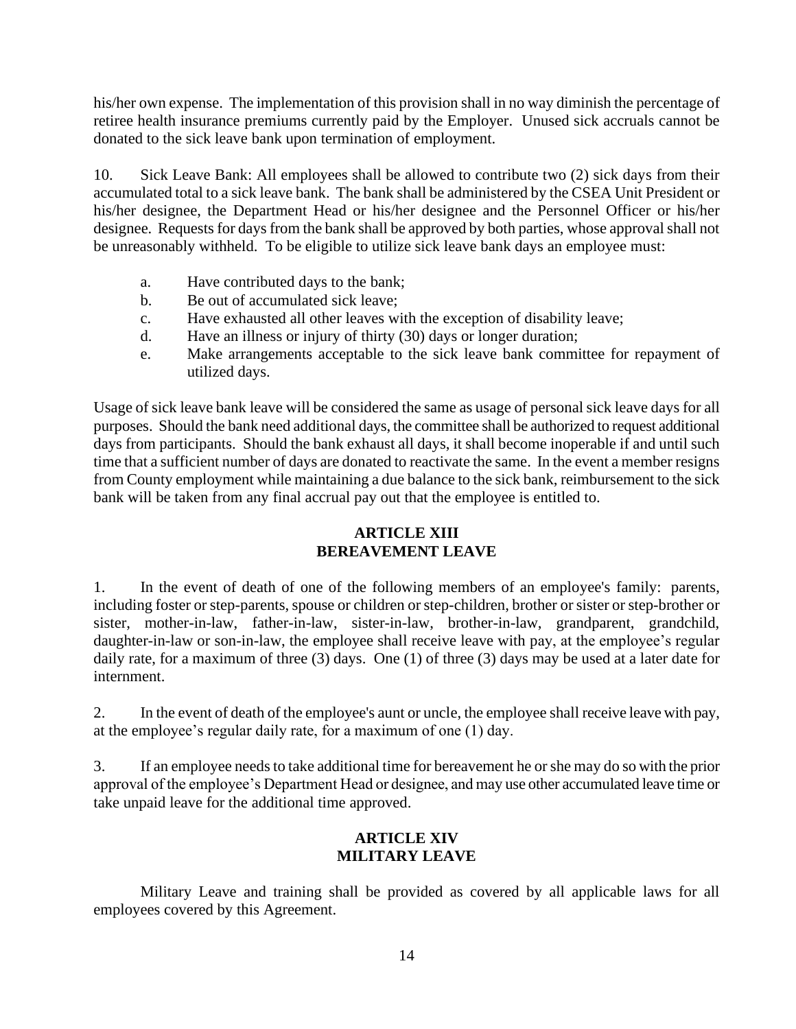his/her own expense. The implementation of this provision shall in no way diminish the percentage of retiree health insurance premiums currently paid by the Employer. Unused sick accruals cannot be donated to the sick leave bank upon termination of employment.

10. Sick Leave Bank: All employees shall be allowed to contribute two (2) sick days from their accumulated total to a sick leave bank. The bank shall be administered by the CSEA Unit President or his/her designee, the Department Head or his/her designee and the Personnel Officer or his/her designee. Requests for days from the bank shall be approved by both parties, whose approval shall not be unreasonably withheld. To be eligible to utilize sick leave bank days an employee must:

- a. Have contributed days to the bank;
- b. Be out of accumulated sick leave;
- c. Have exhausted all other leaves with the exception of disability leave;
- d. Have an illness or injury of thirty (30) days or longer duration;
- e. Make arrangements acceptable to the sick leave bank committee for repayment of utilized days.

Usage of sick leave bank leave will be considered the same as usage of personal sick leave days for all purposes. Should the bank need additional days, the committee shall be authorized to request additional days from participants. Should the bank exhaust all days, it shall become inoperable if and until such time that a sufficient number of days are donated to reactivate the same. In the event a member resigns from County employment while maintaining a due balance to the sick bank, reimbursement to the sick bank will be taken from any final accrual pay out that the employee is entitled to.

# **ARTICLE XIII BEREAVEMENT LEAVE**

1. In the event of death of one of the following members of an employee's family: parents, including foster or step-parents, spouse or children or step-children, brother or sister or step-brother or sister, mother-in-law, father-in-law, sister-in-law, brother-in-law, grandparent, grandchild, daughter-in-law or son-in-law, the employee shall receive leave with pay, at the employee's regular daily rate, for a maximum of three (3) days. One (1) of three (3) days may be used at a later date for internment.

2. In the event of death of the employee's aunt or uncle, the employee shall receive leave with pay, at the employee's regular daily rate, for a maximum of one (1) day.

3. If an employee needs to take additional time for bereavement he orshe may do so with the prior approval of the employee's Department Head or designee, and may use other accumulated leave time or take unpaid leave for the additional time approved.

# **ARTICLE XIV MILITARY LEAVE**

Military Leave and training shall be provided as covered by all applicable laws for all employees covered by this Agreement.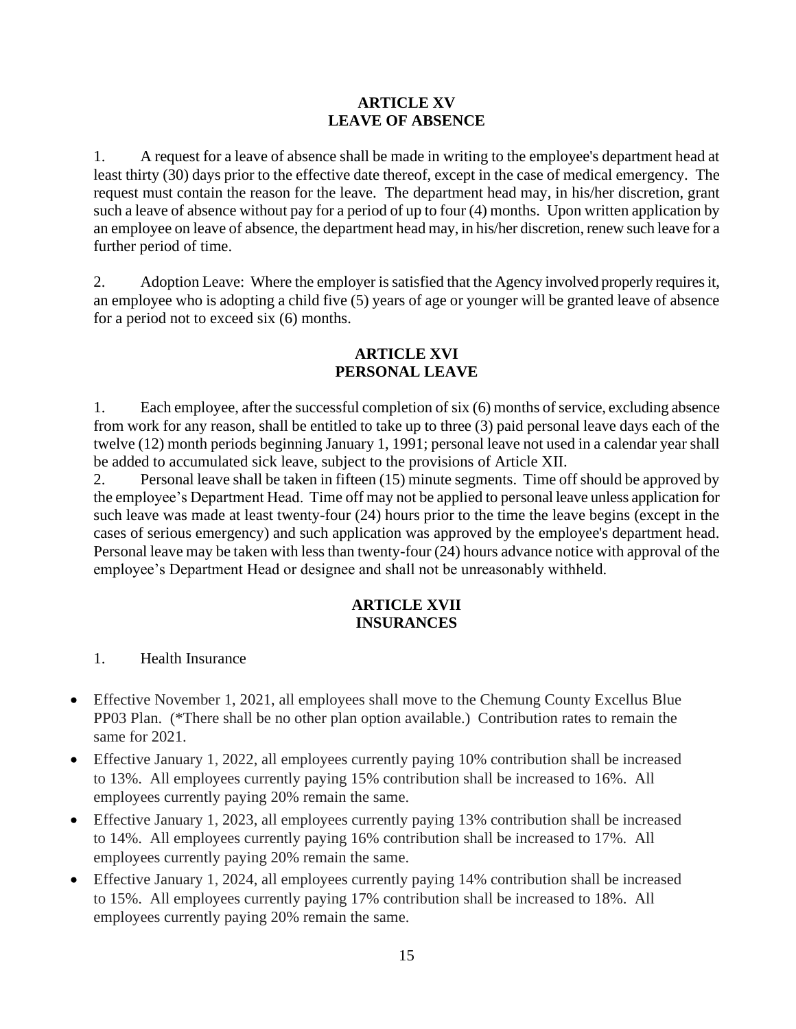# **ARTICLE XV LEAVE OF ABSENCE**

1. A request for a leave of absence shall be made in writing to the employee's department head at least thirty (30) days prior to the effective date thereof, except in the case of medical emergency. The request must contain the reason for the leave. The department head may, in his/her discretion, grant such a leave of absence without pay for a period of up to four (4) months. Upon written application by an employee on leave of absence, the department head may, in his/her discretion, renew such leave for a further period of time.

2. Adoption Leave: Where the employer is satisfied that the Agency involved properly requires it, an employee who is adopting a child five (5) years of age or younger will be granted leave of absence for a period not to exceed six (6) months.

# **ARTICLE XVI PERSONAL LEAVE**

1. Each employee, after the successful completion of six (6) months of service, excluding absence from work for any reason, shall be entitled to take up to three (3) paid personal leave days each of the twelve (12) month periods beginning January 1, 1991; personal leave not used in a calendar year shall be added to accumulated sick leave, subject to the provisions of Article XII.

2. Personal leave shall be taken in fifteen (15) minute segments. Time off should be approved by the employee's Department Head. Time off may not be applied to personal leave unless application for such leave was made at least twenty-four (24) hours prior to the time the leave begins (except in the cases of serious emergency) and such application was approved by the employee's department head. Personal leave may be taken with less than twenty-four (24) hours advance notice with approval of the employee's Department Head or designee and shall not be unreasonably withheld.

# **ARTICLE XVII INSURANCES**

- 1. Health Insurance
- Effective November 1, 2021, all employees shall move to the Chemung County Excellus Blue PP03 Plan. (\*There shall be no other plan option available.) Contribution rates to remain the same for 2021.
- Effective January 1, 2022, all employees currently paying 10% contribution shall be increased to 13%. All employees currently paying 15% contribution shall be increased to 16%. All employees currently paying 20% remain the same.
- Effective January 1, 2023, all employees currently paying 13% contribution shall be increased to 14%. All employees currently paying 16% contribution shall be increased to 17%. All employees currently paying 20% remain the same.
- Effective January 1, 2024, all employees currently paying 14% contribution shall be increased to 15%. All employees currently paying 17% contribution shall be increased to 18%. All employees currently paying 20% remain the same.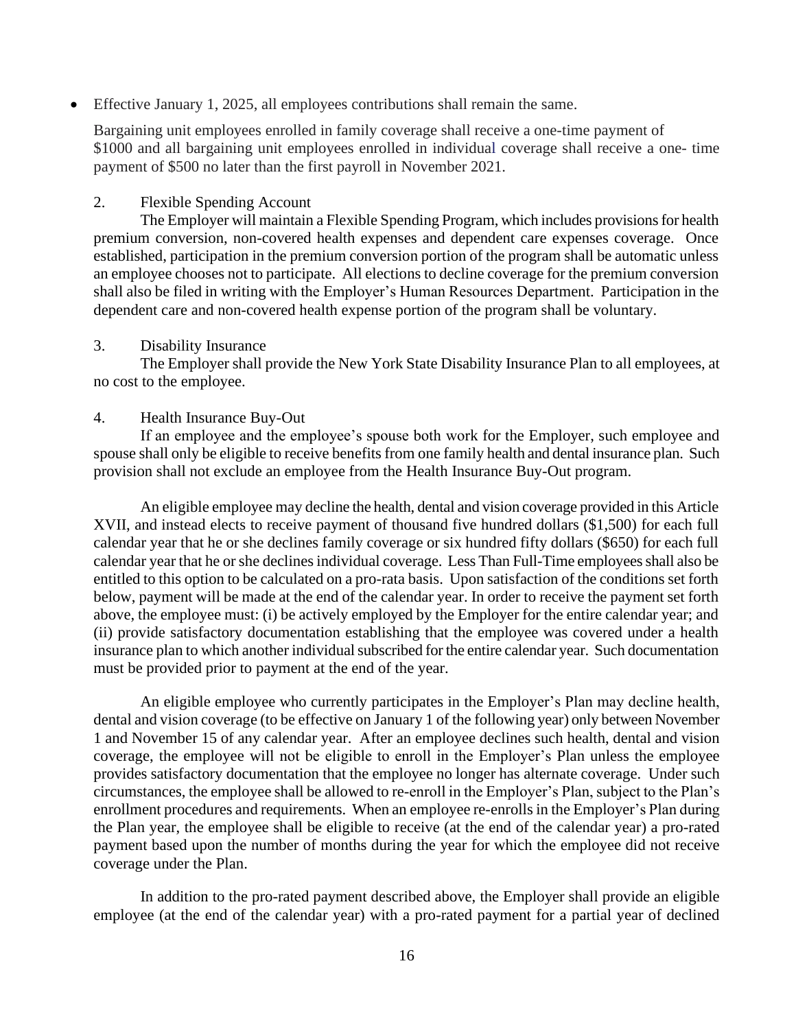• Effective January 1, 2025, all employees contributions shall remain the same.

Bargaining unit employees enrolled in family coverage shall receive a one-time payment of \$1000 and all bargaining unit employees enrolled in individual coverage shall receive a one- time payment of \$500 no later than the first payroll in November 2021.

#### 2. Flexible Spending Account

The Employer will maintain a Flexible Spending Program, which includes provisions for health premium conversion, non-covered health expenses and dependent care expenses coverage. Once established, participation in the premium conversion portion of the program shall be automatic unless an employee chooses not to participate. All elections to decline coverage for the premium conversion shall also be filed in writing with the Employer's Human Resources Department. Participation in the dependent care and non-covered health expense portion of the program shall be voluntary.

#### 3. Disability Insurance

The Employer shall provide the New York State Disability Insurance Plan to all employees, at no cost to the employee.

#### 4. Health Insurance Buy-Out

If an employee and the employee's spouse both work for the Employer, such employee and spouse shall only be eligible to receive benefits from one family health and dental insurance plan. Such provision shall not exclude an employee from the Health Insurance Buy-Out program.

An eligible employee may decline the health, dental and vision coverage provided in this Article XVII, and instead elects to receive payment of thousand five hundred dollars (\$1,500) for each full calendar year that he or she declines family coverage or six hundred fifty dollars (\$650) for each full calendar year that he or she declines individual coverage. Less Than Full-Time employees shall also be entitled to this option to be calculated on a pro-rata basis. Upon satisfaction of the conditions set forth below, payment will be made at the end of the calendar year. In order to receive the payment set forth above, the employee must: (i) be actively employed by the Employer for the entire calendar year; and (ii) provide satisfactory documentation establishing that the employee was covered under a health insurance plan to which another individual subscribed for the entire calendar year. Such documentation must be provided prior to payment at the end of the year.

 An eligible employee who currently participates in the Employer's Plan may decline health, dental and vision coverage (to be effective on January 1 of the following year) only between November 1 and November 15 of any calendar year. After an employee declines such health, dental and vision coverage, the employee will not be eligible to enroll in the Employer's Plan unless the employee provides satisfactory documentation that the employee no longer has alternate coverage. Under such circumstances, the employee shall be allowed to re-enroll in the Employer's Plan, subject to the Plan's enrollment procedures and requirements. When an employee re-enrolls in the Employer's Plan during the Plan year, the employee shall be eligible to receive (at the end of the calendar year) a pro-rated payment based upon the number of months during the year for which the employee did not receive coverage under the Plan.

 In addition to the pro-rated payment described above, the Employer shall provide an eligible employee (at the end of the calendar year) with a pro-rated payment for a partial year of declined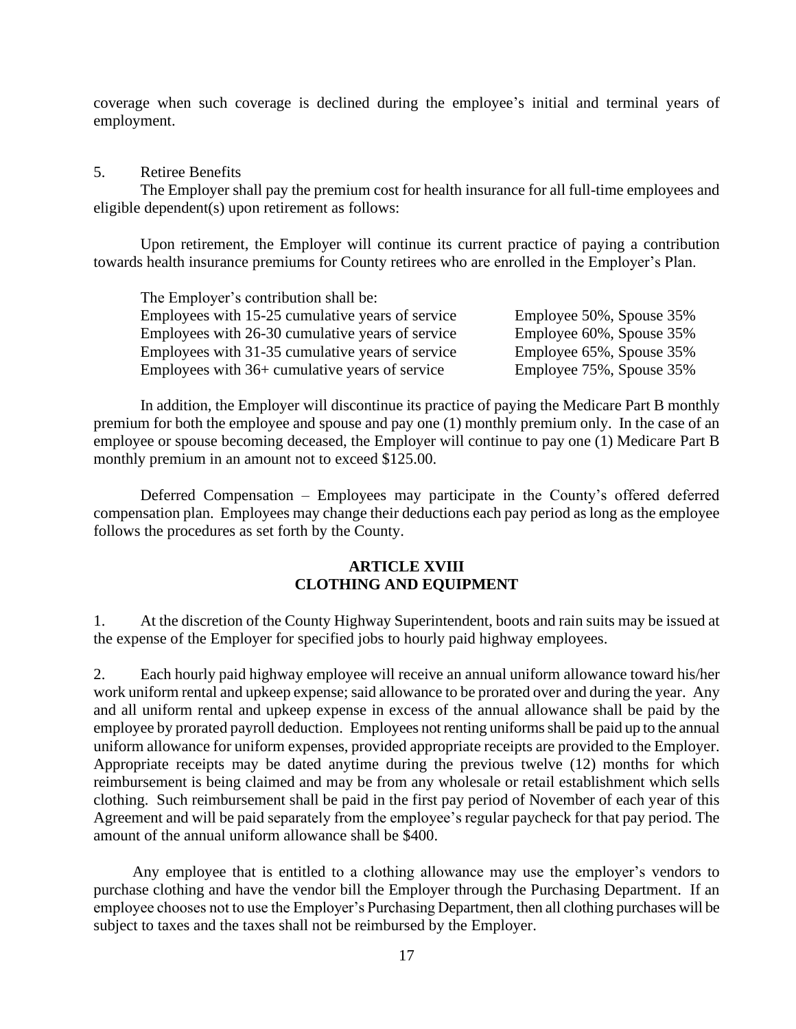coverage when such coverage is declined during the employee's initial and terminal years of employment.

#### 5. Retiree Benefits

The Employer shall pay the premium cost for health insurance for all full-time employees and eligible dependent(s) upon retirement as follows:

Upon retirement, the Employer will continue its current practice of paying a contribution towards health insurance premiums for County retirees who are enrolled in the Employer's Plan.

| The Employer's contribution shall be:            |                          |
|--------------------------------------------------|--------------------------|
| Employees with 15-25 cumulative years of service | Employee 50%, Spouse 35% |
| Employees with 26-30 cumulative years of service | Employee 60%, Spouse 35% |
| Employees with 31-35 cumulative years of service | Employee 65%, Spouse 35% |
| Employees with 36+ cumulative years of service   | Employee 75%, Spouse 35% |

In addition, the Employer will discontinue its practice of paying the Medicare Part B monthly premium for both the employee and spouse and pay one (1) monthly premium only. In the case of an employee or spouse becoming deceased, the Employer will continue to pay one (1) Medicare Part B monthly premium in an amount not to exceed \$125.00.

Deferred Compensation – Employees may participate in the County's offered deferred compensation plan. Employees may change their deductions each pay period as long as the employee follows the procedures as set forth by the County.

## **ARTICLE XVIII CLOTHING AND EQUIPMENT**

1. At the discretion of the County Highway Superintendent, boots and rain suits may be issued at the expense of the Employer for specified jobs to hourly paid highway employees.

2. Each hourly paid highway employee will receive an annual uniform allowance toward his/her work uniform rental and upkeep expense; said allowance to be prorated over and during the year. Any and all uniform rental and upkeep expense in excess of the annual allowance shall be paid by the employee by prorated payroll deduction. Employees not renting uniforms shall be paid up to the annual uniform allowance for uniform expenses, provided appropriate receipts are provided to the Employer. Appropriate receipts may be dated anytime during the previous twelve (12) months for which reimbursement is being claimed and may be from any wholesale or retail establishment which sells clothing. Such reimbursement shall be paid in the first pay period of November of each year of this Agreement and will be paid separately from the employee's regular paycheck for that pay period. The amount of the annual uniform allowance shall be \$400.

 Any employee that is entitled to a clothing allowance may use the employer's vendors to purchase clothing and have the vendor bill the Employer through the Purchasing Department. If an employee chooses not to use the Employer's Purchasing Department, then all clothing purchases will be subject to taxes and the taxes shall not be reimbursed by the Employer.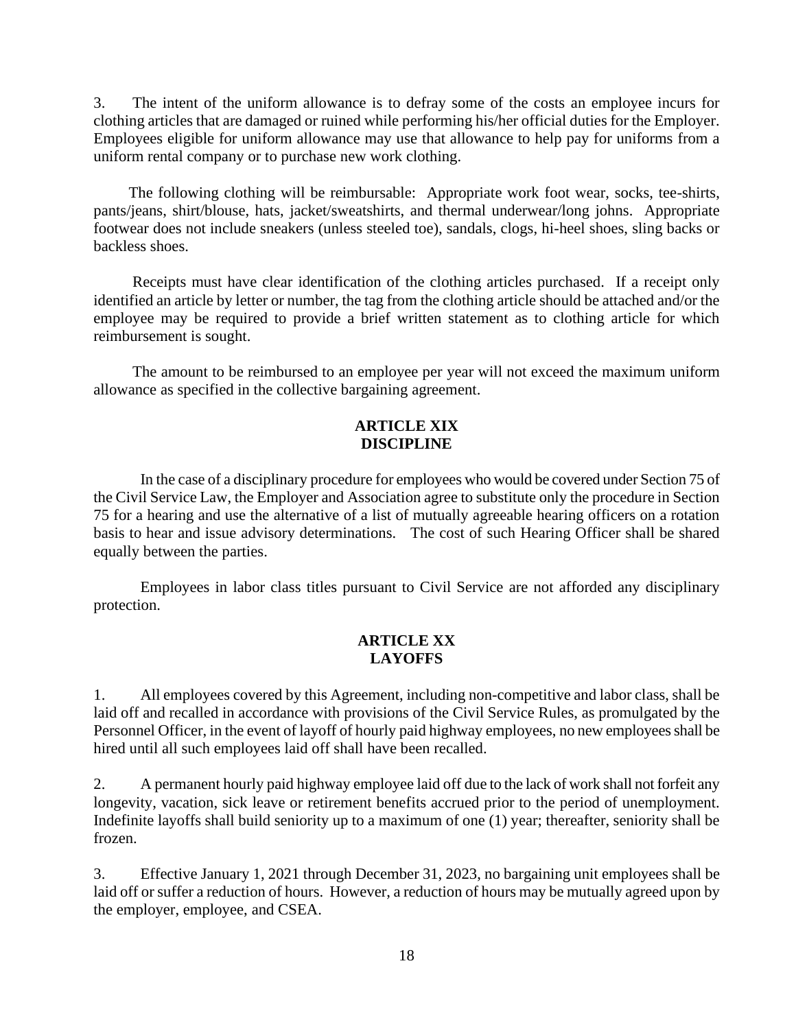3. The intent of the uniform allowance is to defray some of the costs an employee incurs for clothing articles that are damaged or ruined while performing his/her official duties for the Employer. Employees eligible for uniform allowance may use that allowance to help pay for uniforms from a uniform rental company or to purchase new work clothing.

 The following clothing will be reimbursable: Appropriate work foot wear, socks, tee-shirts, pants/jeans, shirt/blouse, hats, jacket/sweatshirts, and thermal underwear/long johns. Appropriate footwear does not include sneakers (unless steeled toe), sandals, clogs, hi-heel shoes, sling backs or backless shoes.

 Receipts must have clear identification of the clothing articles purchased. If a receipt only identified an article by letter or number, the tag from the clothing article should be attached and/or the employee may be required to provide a brief written statement as to clothing article for which reimbursement is sought.

 The amount to be reimbursed to an employee per year will not exceed the maximum uniform allowance as specified in the collective bargaining agreement.

### **ARTICLE XIX DISCIPLINE**

In the case of a disciplinary procedure for employees who would be covered under Section 75 of the Civil Service Law, the Employer and Association agree to substitute only the procedure in Section 75 for a hearing and use the alternative of a list of mutually agreeable hearing officers on a rotation basis to hear and issue advisory determinations. The cost of such Hearing Officer shall be shared equally between the parties.

Employees in labor class titles pursuant to Civil Service are not afforded any disciplinary protection.

#### **ARTICLE XX LAYOFFS**

1. All employees covered by this Agreement, including non-competitive and labor class, shall be laid off and recalled in accordance with provisions of the Civil Service Rules, as promulgated by the Personnel Officer, in the event of layoff of hourly paid highway employees, no new employees shall be hired until all such employees laid off shall have been recalled.

2. A permanent hourly paid highway employee laid off due to the lack of work shall not forfeit any longevity, vacation, sick leave or retirement benefits accrued prior to the period of unemployment. Indefinite layoffs shall build seniority up to a maximum of one (1) year; thereafter, seniority shall be frozen.

3. Effective January 1, 2021 through December 31, 2023, no bargaining unit employees shall be laid off or suffer a reduction of hours. However, a reduction of hours may be mutually agreed upon by the employer, employee, and CSEA.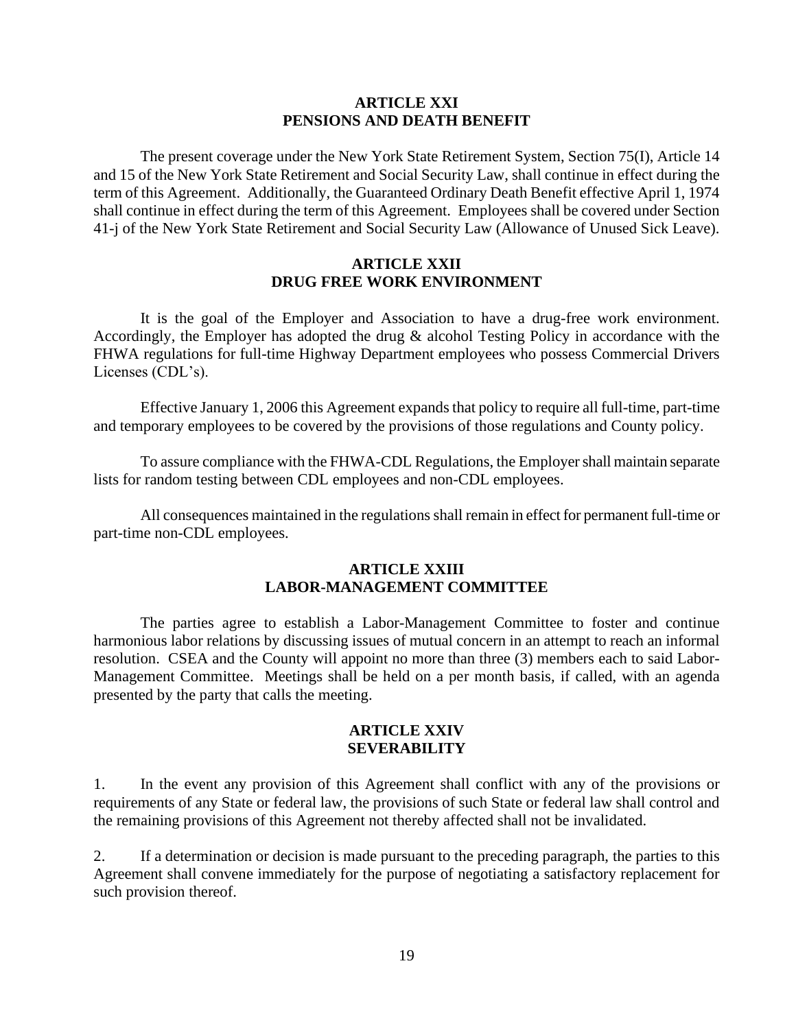#### **ARTICLE XXI PENSIONS AND DEATH BENEFIT**

The present coverage under the New York State Retirement System, Section 75(I), Article 14 and 15 of the New York State Retirement and Social Security Law, shall continue in effect during the term of this Agreement. Additionally, the Guaranteed Ordinary Death Benefit effective April 1, 1974 shall continue in effect during the term of this Agreement. Employees shall be covered under Section 41-j of the New York State Retirement and Social Security Law (Allowance of Unused Sick Leave).

#### **ARTICLE XXII DRUG FREE WORK ENVIRONMENT**

It is the goal of the Employer and Association to have a drug-free work environment. Accordingly, the Employer has adopted the drug & alcohol Testing Policy in accordance with the FHWA regulations for full-time Highway Department employees who possess Commercial Drivers Licenses (CDL's).

Effective January 1, 2006 this Agreement expands that policy to require all full-time, part-time and temporary employees to be covered by the provisions of those regulations and County policy.

To assure compliance with the FHWA-CDL Regulations, the Employershall maintain separate lists for random testing between CDL employees and non-CDL employees.

All consequences maintained in the regulations shall remain in effect for permanent full-time or part-time non-CDL employees.

## **ARTICLE XXIII LABOR-MANAGEMENT COMMITTEE**

The parties agree to establish a Labor-Management Committee to foster and continue harmonious labor relations by discussing issues of mutual concern in an attempt to reach an informal resolution. CSEA and the County will appoint no more than three (3) members each to said Labor-Management Committee. Meetings shall be held on a per month basis, if called, with an agenda presented by the party that calls the meeting.

#### **ARTICLE XXIV SEVERABILITY**

1. In the event any provision of this Agreement shall conflict with any of the provisions or requirements of any State or federal law, the provisions of such State or federal law shall control and the remaining provisions of this Agreement not thereby affected shall not be invalidated.

2. If a determination or decision is made pursuant to the preceding paragraph, the parties to this Agreement shall convene immediately for the purpose of negotiating a satisfactory replacement for such provision thereof.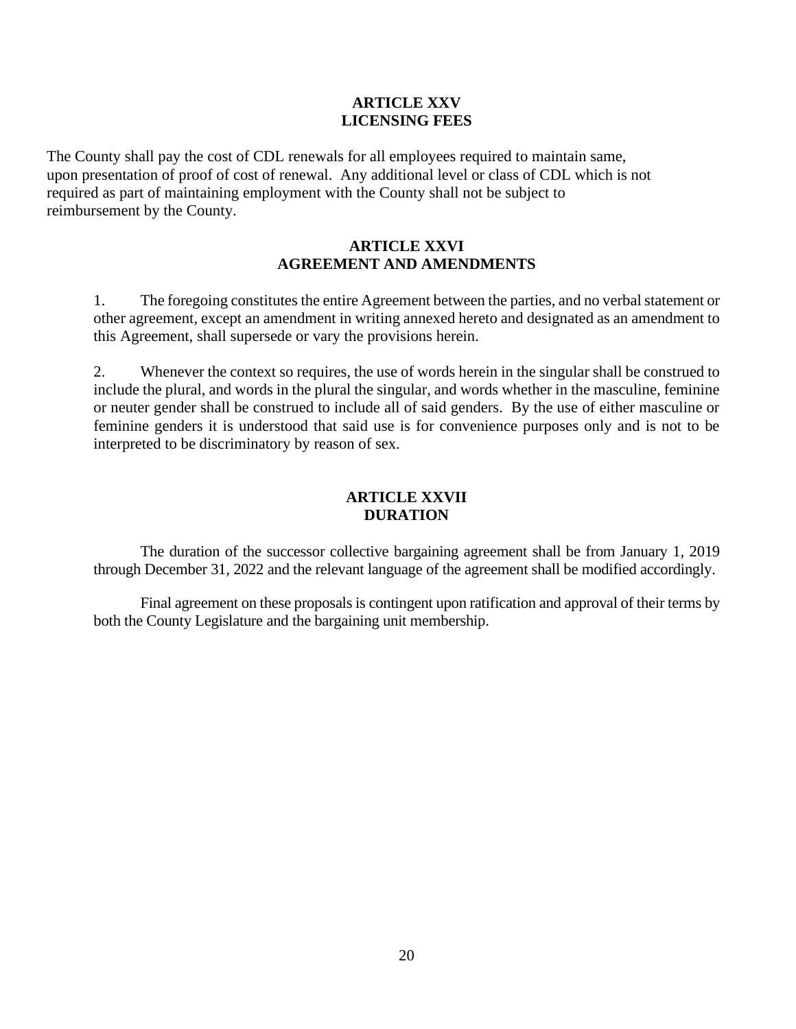## **ARTICLE XXV LICENSING FEES**

The County shall pay the cost of CDL renewals for all employees required to maintain same, upon presentation of proof of cost of renewal. Any additional level or class of CDL which is not required as part of maintaining employment with the County shall not be subject to reimbursement by the County.

## **ARTICLE XXVI AGREEMENT AND AMENDMENTS**

1. The foregoing constitutes the entire Agreement between the parties, and no verbal statement or other agreement, except an amendment in writing annexed hereto and designated as an amendment to this Agreement, shall supersede or vary the provisions herein.

2. Whenever the context so requires, the use of words herein in the singular shall be construed to include the plural, and words in the plural the singular, and words whether in the masculine, feminine or neuter gender shall be construed to include all of said genders. By the use of either masculine or feminine genders it is understood that said use is for convenience purposes only and is not to be interpreted to be discriminatory by reason of sex.

# **ARTICLE XXVII DURATION**

The duration of the successor collective bargaining agreement shall be from January 1, 2019 through December 31, 2022 and the relevant language of the agreement shall be modified accordingly.

Final agreement on these proposals is contingent upon ratification and approval of their terms by both the County Legislature and the bargaining unit membership.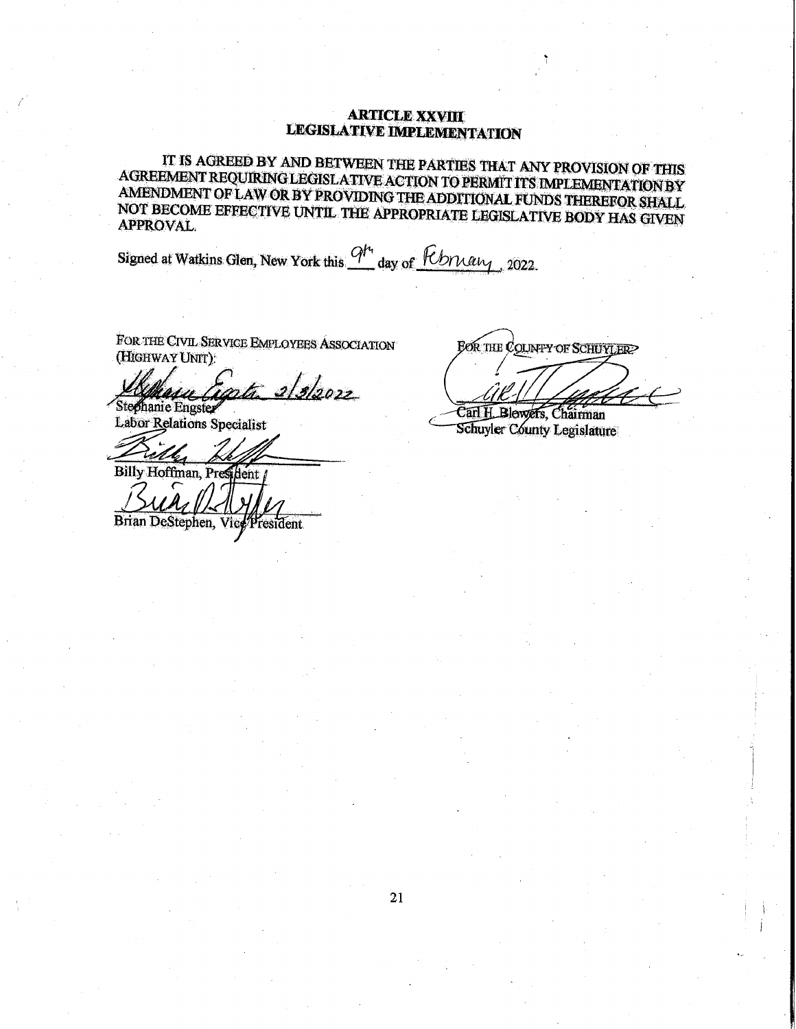#### **ARTICLE XXVIII LEGISLATIVE IMPLEMENTATION**

IT IS AGREED BY AND BETWEEN THE PARTIES THAT ANY PROVISION OF THIS AGREEMENT REQUIRING LEGISLATIVE ACTION TO PERMIT ITS IMPLEMENTATION BY AMENDMENT OF LAW OR BY PROVIDING THE ADDITIONAL FUNDS THEREFOR SHALL NOT BECOME EFFECTIVE UNTIL THE APPROPRIATE LEGISLATIVE BODY HAS GIVEN **APPROVAL** 

Signed at Watkins Glen, New York this 9<sup>H</sup> day of *February*, 2022.

FOR THE CIVIL SERVICE EMPLOYEES ASSOCIATION (HIGHWAY UNIT):

2/3/2022 Stephanie Engster

**Labor Relations Specialist** 

Billy Hoffman, President /

Brian DeStephen, Vice President

**FOR THE COUNTY OF SCHUYLER?** 

Carl H. Blewers, Chairman Schuyler County Legislature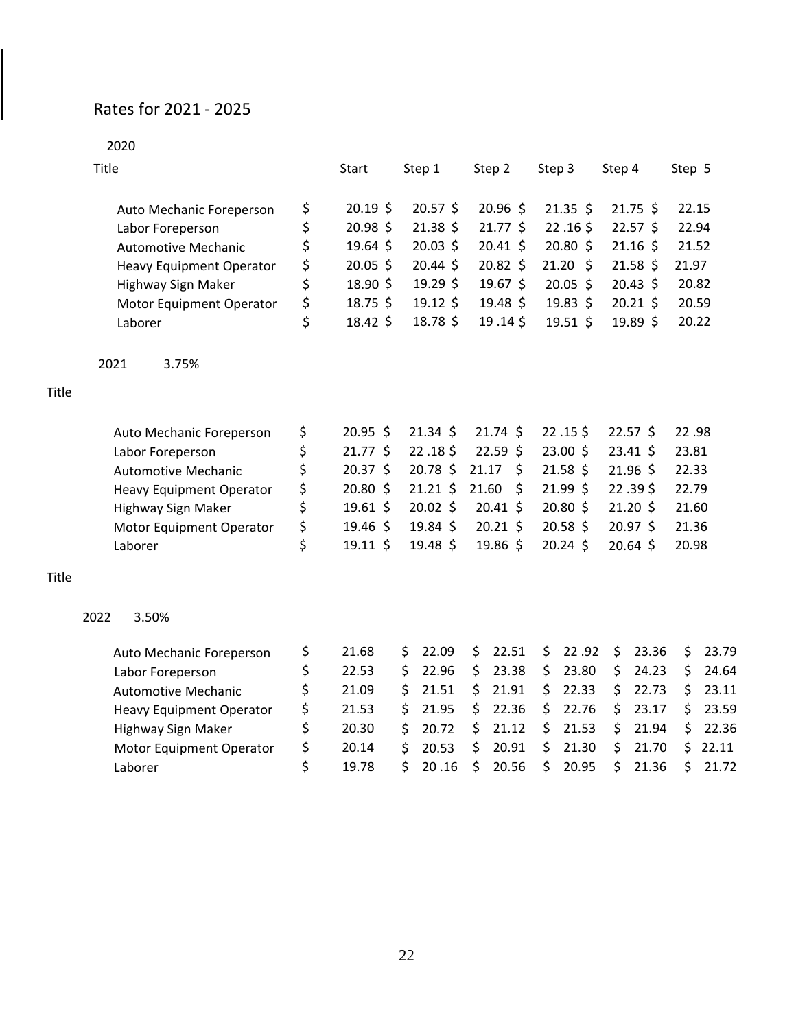# Rates for 2021 - 2025

 $\overline{\phantom{a}}$ 

|       | 2020                            |                  |               |       |               |        |               |        |               |        |       |
|-------|---------------------------------|------------------|---------------|-------|---------------|--------|---------------|--------|---------------|--------|-------|
|       | Title                           | Start            | Step 1        |       | Step 2        | Step 3 |               | Step 4 |               | Step 5 |       |
|       | Auto Mechanic Foreperson        | \$<br>$20.19$ \$ | $20.57$ \$    |       | 20.96 \$      |        | $21.35 \;$ \$ |        | $21.75$ \$    | 22.15  |       |
|       | Labor Foreperson                | \$<br>20.98 \$   | $21.38$ \$    |       | $21.77$ \$    |        | $22.16$ \$    |        | $22.57$ \$    | 22.94  |       |
|       | <b>Automotive Mechanic</b>      | \$<br>$19.64$ \$ | $20.03$ \$    |       | $20.41 \;$ \$ |        | $20.80$ \$    |        | $21.16$ \$    | 21.52  |       |
|       | <b>Heavy Equipment Operator</b> | \$<br>$20.05$ \$ | $20.44$ \$    |       | $20.82 \div$  |        | $21.20$ \$    |        | $21.58$ \$    | 21.97  |       |
|       | Highway Sign Maker              | \$<br>18.90 \$   | 19.29 \$      |       | $19.67$ \$    |        | $20.05$ \$    |        | $20.43$ \$    | 20.82  |       |
|       | Motor Equipment Operator        | \$<br>$18.75$ \$ | $19.12$ \$    |       | $19.48 \;$ \$ |        | $19.83$ \$    |        | $20.21$ \$    | 20.59  |       |
|       | Laborer                         | \$<br>18.42 \$   | 18.78 \$      |       | 19.14\$       |        | $19.51$ \$    |        | 19.89 \$      | 20.22  |       |
|       | 2021<br>3.75%                   |                  |               |       |               |        |               |        |               |        |       |
| Title |                                 |                  |               |       |               |        |               |        |               |        |       |
|       | Auto Mechanic Foreperson        | \$<br>20.95 \$   | $21.34 \;$ \$ |       | $21.74 \;$ \$ |        | $22.15$ \$    |        | $22.57$ \$    | 22.98  |       |
|       | Labor Foreperson                | \$<br>$21.77$ \$ | $22.18$ \$    |       | $22.59$ \$    |        | 23.00 \$      |        | $23.41 \;$ \$ | 23.81  |       |
|       | <b>Automotive Mechanic</b>      | \$<br>$20.37$ \$ | 20.78 \$      | 21.17 | \$            |        | $21.58$ \$    |        | $21.96$ \$    | 22.33  |       |
|       | Heavy Equipment Operator        | \$<br>20.80 \$   | $21.21$ \$    | 21.60 | \$            |        | 21.99 \$      |        | 22.39\$       | 22.79  |       |
|       | Highway Sign Maker              | \$<br>$19.61$ \$ | $20.02$ \$    |       | $20.41 \;$ \$ |        | 20.80 \$      |        | $21.20$ \$    | 21.60  |       |
|       | Motor Equipment Operator        | \$<br>19.46 \$   | 19.84 \$      |       | $20.21$ \$    |        | $20.58$ \$    |        | $20.97$ \$    | 21.36  |       |
|       | Laborer                         | \$<br>$19.11$ \$ | 19.48 \$      |       | 19.86 \$      |        | $20.24$ \$    |        | 20.64 \$      | 20.98  |       |
| Title |                                 |                  |               |       |               |        |               |        |               |        |       |
|       | 2022<br>3.50%                   |                  |               |       |               |        |               |        |               |        |       |
|       | Auto Mechanic Foreperson        | \$<br>21.68      | \$<br>22.09   | \$    | 22.51         | \$     | 22.92         | \$     | 23.36         | \$     | 23.79 |
|       | Labor Foreperson                | \$<br>22.53      | \$<br>22.96   | \$    | 23.38         | \$     | 23.80         | \$     | 24.23         | \$     | 24.64 |
|       | <b>Automotive Mechanic</b>      | \$<br>21.09      | \$<br>21.51   | \$    | 21.91         | \$     | 22.33         | \$     | 22.73         | \$     | 23.11 |
|       | Heavy Equipment Operator        | \$<br>21.53      | \$<br>21.95   | \$    | 22.36         | \$     | 22.76         | \$     | 23.17         | \$     | 23.59 |
|       | Highway Sign Maker              | \$<br>20.30      | \$<br>20.72   | \$    | 21.12         | \$     | 21.53         | \$     | 21.94         | \$     | 22.36 |
|       | Motor Equipment Operator        | \$<br>20.14      | \$<br>20.53   | \$    | 20.91         | \$     | 21.30         | \$     | 21.70         | \$     | 22.11 |
|       | Laborer                         | \$<br>19.78      | \$<br>20.16   | \$    | 20.56         | \$     | 20.95         | \$     | 21.36         | \$     | 21.72 |